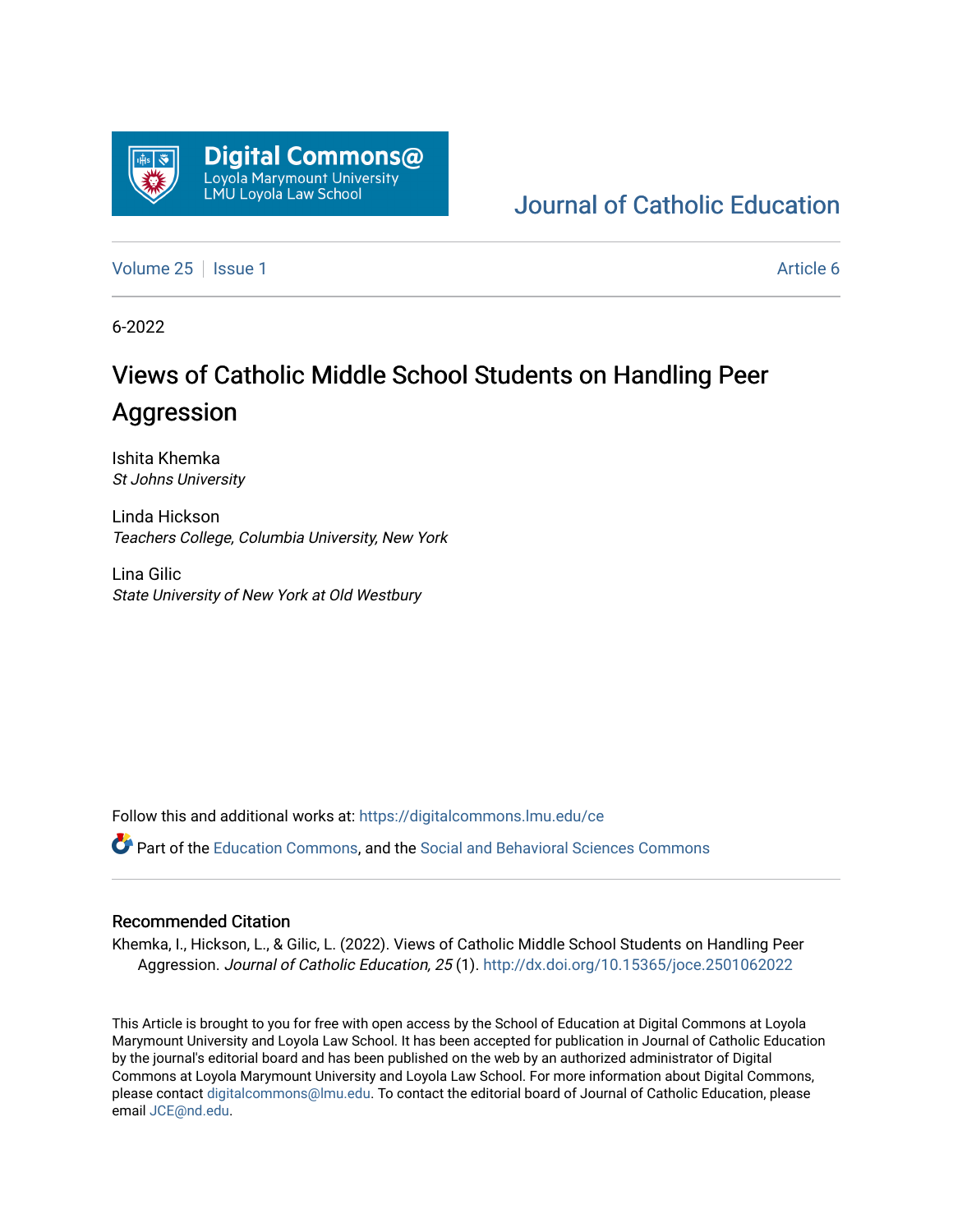

# [Journal of Catholic Education](https://digitalcommons.lmu.edu/ce)

[Volume 25](https://digitalcommons.lmu.edu/ce/vol25) | [Issue 1](https://digitalcommons.lmu.edu/ce/vol25/iss1) Article 6

6-2022

# Views of Catholic Middle School Students on Handling Peer Aggression

Ishita Khemka St Johns University

Linda Hickson Teachers College, Columbia University, New York

Lina Gilic State University of New York at Old Westbury

Follow this and additional works at: [https://digitalcommons.lmu.edu/ce](https://digitalcommons.lmu.edu/ce?utm_source=digitalcommons.lmu.edu%2Fce%2Fvol25%2Fiss1%2F6&utm_medium=PDF&utm_campaign=PDFCoverPages)

Part of the [Education Commons](https://network.bepress.com/hgg/discipline/784?utm_source=digitalcommons.lmu.edu%2Fce%2Fvol25%2Fiss1%2F6&utm_medium=PDF&utm_campaign=PDFCoverPages), and the [Social and Behavioral Sciences Commons](https://network.bepress.com/hgg/discipline/316?utm_source=digitalcommons.lmu.edu%2Fce%2Fvol25%2Fiss1%2F6&utm_medium=PDF&utm_campaign=PDFCoverPages) 

#### Recommended Citation

Khemka, I., Hickson, L., & Gilic, L. (2022). Views of Catholic Middle School Students on Handling Peer Aggression. Journal of Catholic Education, 25 (1). <http://dx.doi.org/10.15365/joce.2501062022>

This Article is brought to you for free with open access by the School of Education at Digital Commons at Loyola Marymount University and Loyola Law School. It has been accepted for publication in Journal of Catholic Education by the journal's editorial board and has been published on the web by an authorized administrator of Digital Commons at Loyola Marymount University and Loyola Law School. For more information about Digital Commons, please contact [digitalcommons@lmu.edu](mailto:digitalcommons@lmu.edu). To contact the editorial board of Journal of Catholic Education, please email [JCE@nd.edu](mailto:JCE@nd.edu).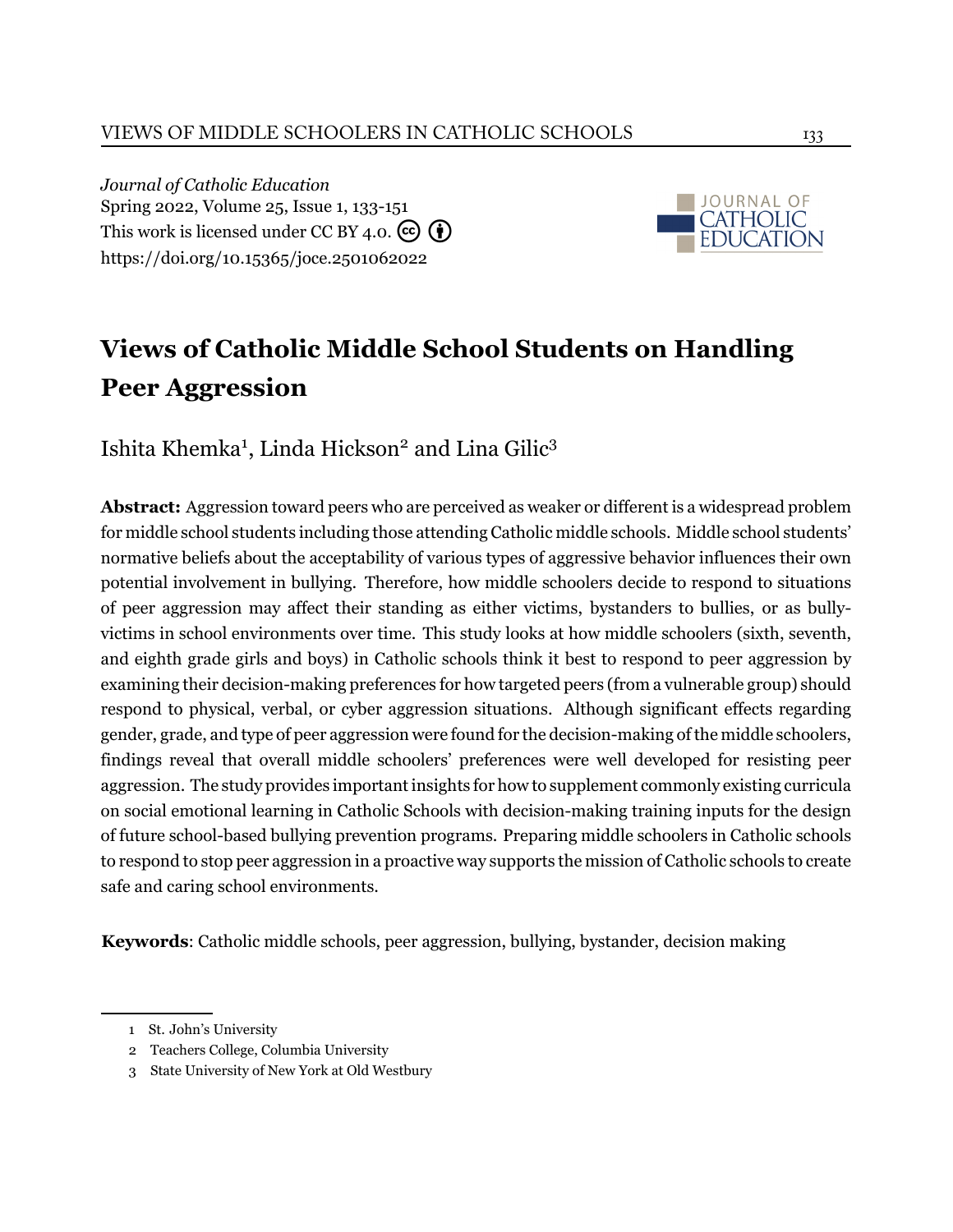*Journal of Catholic Education* Spring 2022, Volume 25, Issue 1, 133[-151](#page-14-0) This work is licensed under CC BY 4.0.  $\left(\overline{\mathbf{e}}\right)$ <https://doi.org/10.15365/joce.2501062022>



# **Views of Catholic Middle School Students on Handling Peer Aggression**

Ishita Khemka<sup>1</sup>, Linda Hickson<sup>2</sup> and Lina Gilic<sup>3</sup>

**Abstract:** Aggression toward peers who are perceived as weaker or different is a widespread problem for middle school students including those attending Catholic middle schools. Middle school students' normative beliefs about the acceptability of various types of aggressive behavior influences their own potential involvement in bullying. Therefore, how middle schoolers decide to respond to situations of peer aggression may affect their standing as either victims, bystanders to bullies, or as bullyvictims in school environments over time. This study looks at how middle schoolers (sixth, seventh, and eighth grade girls and boys) in Catholic schools think it best to respond to peer aggression by examining their decision-making preferences for how targeted peers (from a vulnerable group) should respond to physical, verbal, or cyber aggression situations. Although significant effects regarding gender, grade, and type of peer aggression were found for the decision-making of the middle schoolers, findings reveal that overall middle schoolers' preferences were well developed for resisting peer aggression. The study provides important insights for how to supplement commonly existing curricula on social emotional learning in Catholic Schools with decision-making training inputs for the design of future school-based bullying prevention programs. Preparing middle schoolers in Catholic schools to respond to stop peer aggression in a proactive way supports the mission of Catholic schools to create safe and caring school environments.

**Keywords**: Catholic middle schools, peer aggression, bullying, bystander, decision making

<sup>1</sup> St. John's University

<sup>2</sup> Teachers College, Columbia University

<sup>3</sup> State University of New York at Old Westbury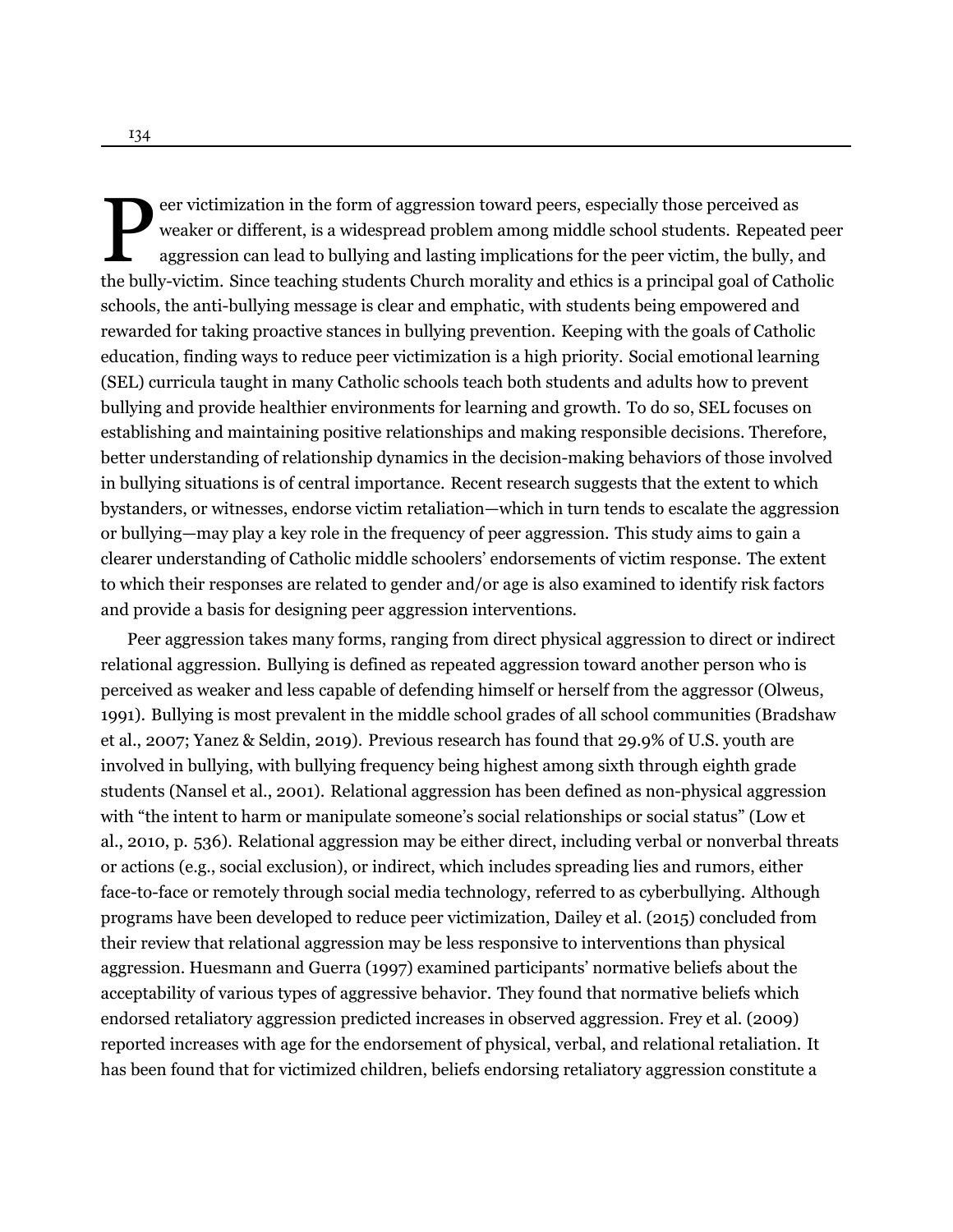Foreignal students of the bully-victim. Since teaching students Church morality and ethics is a principal goal of Catholic the bully-victim. Since teaching students Church morality and ethics is a principal goal of Catholi eer victimization in the form of aggression toward peers, especially those perceived as weaker or different, is a widespread problem among middle school students. Repeated peer aggression can lead to bullying and lasting implications for the peer victim, the bully, and schools, the anti-bullying message is clear and emphatic, with students being empowered and rewarded for taking proactive stances in bullying prevention. Keeping with the goals of Catholic education, finding ways to reduce peer victimization is a high priority. Social emotional learning (SEL) curricula taught in many Catholic schools teach both students and adults how to prevent bullying and provide healthier environments for learning and growth. To do so, SEL focuses on establishing and maintaining positive relationships and making responsible decisions. Therefore, better understanding of relationship dynamics in the decision-making behaviors of those involved in bullying situations is of central importance. Recent research suggests that the extent to which bystanders, or witnesses, endorse victim retaliation—which in turn tends to escalate the aggression or bullying—may play a key role in the frequency of peer aggression. This study aims to gain a clearer understanding of Catholic middle schoolers' endorsements of victim response. The extent to which their responses are related to gender and/or age is also examined to identify risk factors and provide a basis for designing peer aggression interventions.

Peer aggression takes many forms, ranging from direct physical aggression to direct or indirect relational aggression. Bullying is defined as repeated aggression toward another person who is perceived as weaker and less capable of defending himself or herself from the aggressor [\(Olweus,](#page-14-1) [1991\)](#page-14-1). Bullying is most prevalent in the middle school grades of all school communities [\(Bradshaw](#page-12-0) [et al.](#page-12-0), [2007;](#page-12-0) [Yanez & Seldin, 2019](#page-15-0)). Previous research has found that 29.9% of U.S. youth are involved in bullying, with bullying frequency being highest among sixth through eighth grade students([Nansel et al.](#page-14-2), [2001\)](#page-14-2). Relational aggression has been defined as non-physical aggression with "the intent to harm or manipulate someone's social relationships or social status" (Low et al., [2010](#page-14-3), p. 536). Relational aggression may be either direct, including verbal or nonverbal threats or actions (e.g., social exclusion), or indirect, which includes spreading lies and rumors, either face-to-face or remotely through social media technology, referred to as cyberbullying. Although programs have been developed to reduce peer victimization, [Dailey et al. \(2015\)](#page-12-1) concluded from their review that relational aggression may be less responsive to interventions than physical aggression. [Huesmann and Guerra](#page-13-0) ([1997](#page-13-0)) examined participants' normative beliefs about the acceptability of various types of aggressive behavior. They found that normative beliefs which endorsed retaliatory aggression predicted increases in observed aggression. [Frey et al.](#page-13-1) ([2009](#page-13-1)) reported increases with age for the endorsement of physical, verbal, and relational retaliation. It has been found that for victimized children, beliefs endorsing retaliatory aggression constitute a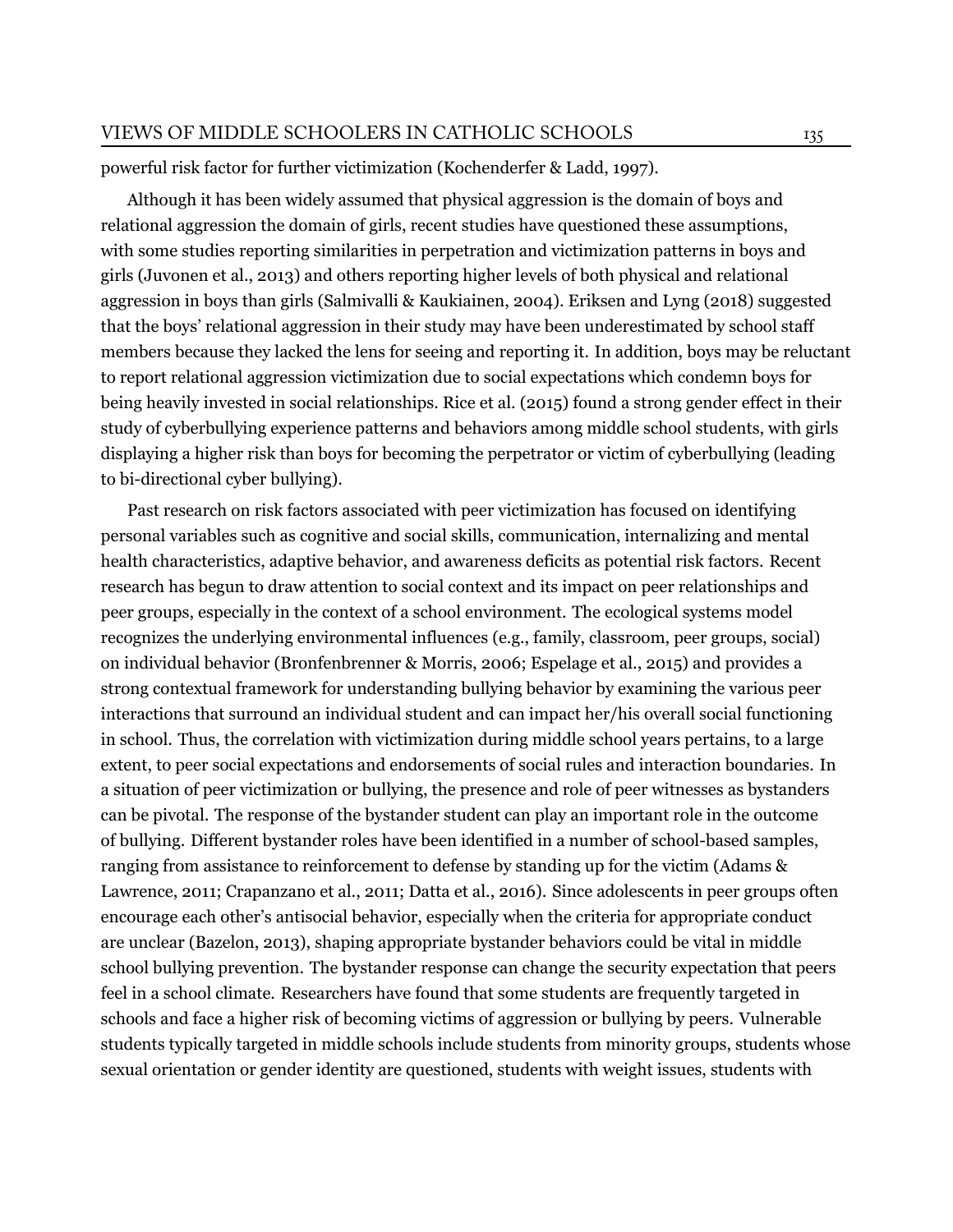powerful risk factor for further victimization([Kochenderfer & Ladd](#page-13-2), [1997](#page-13-2)).

Although it has been widely assumed that physical aggression is the domain of boys and relational aggression the domain of girls, recent studies have questioned these assumptions, with some studies reporting similarities in perpetration and victimization patterns in boys and girls([Juvonen et al., 2013\)](#page-13-3) and others reporting higher levels of both physical and relational aggression in boys than girls [\(Salmivalli & Kaukiainen](#page-15-1), [2004\)](#page-15-1). [Eriksen and Lyng \(2018](#page-12-2)) suggested that the boys' relational aggression in their study may have been underestimated by school staff members because they lacked the lens for seeing and reporting it. In addition, boys may be reluctant to report relational aggression victimization due to social expectations which condemn boys for being heavily invested in social relationships. [Rice et al. \(2015](#page-14-4)) found a strong gender effect in their study of cyberbullying experience patterns and behaviors among middle school students, with girls displaying a higher risk than boys for becoming the perpetrator or victim of cyberbullying (leading to bi-directional cyber bullying).

Past research on risk factors associated with peer victimization has focused on identifying personal variables such as cognitive and social skills, communication, internalizing and mental health characteristics, adaptive behavior, and awareness deficits as potential risk factors. Recent research has begun to draw attention to social context and its impact on peer relationships and peer groups, especially in the context of a school environment. The ecological systems model recognizes the underlying environmental influences (e.g., family, classroom, peer groups, social) on individual behavior [\(Bronfenbrenner & Morris, 2006;](#page-12-3) [Espelage et al., 2015](#page-13-4)) and provides a strong contextual framework for understanding bullying behavior by examining the various peer interactions that surround an individual student and can impact her/his overall social functioning in school. Thus, the correlation with victimization during middle school years pertains, to a large extent, to peer social expectations and endorsements of social rules and interaction boundaries. In a situation of peer victimization or bullying, the presence and role of peer witnesses as bystanders can be pivotal. The response of the bystander student can play an important role in the outcome of bullying. Different bystander roles have been identified in a number of school-based samples, ranging from assistance to reinforcement to defense by standing up for the victim([Adams &](#page-12-4) [Lawrence](#page-12-4), [2011](#page-12-4); [Crapanzano et al., 2011;](#page-12-5) [Datta et al.](#page-12-6), [2016](#page-12-6)). Since adolescents in peer groups often encourage each other's antisocial behavior, especially when the criteria for appropriate conduct are unclear [\(Bazelon, 2013\)](#page-12-7), shaping appropriate bystander behaviors could be vital in middle school bullying prevention. The bystander response can change the security expectation that peers feel in a school climate. Researchers have found that some students are frequently targeted in schools and face a higher risk of becoming victims of aggression or bullying by peers. Vulnerable students typically targeted in middle schools include students from minority groups, students whose sexual orientation or gender identity are questioned, students with weight issues, students with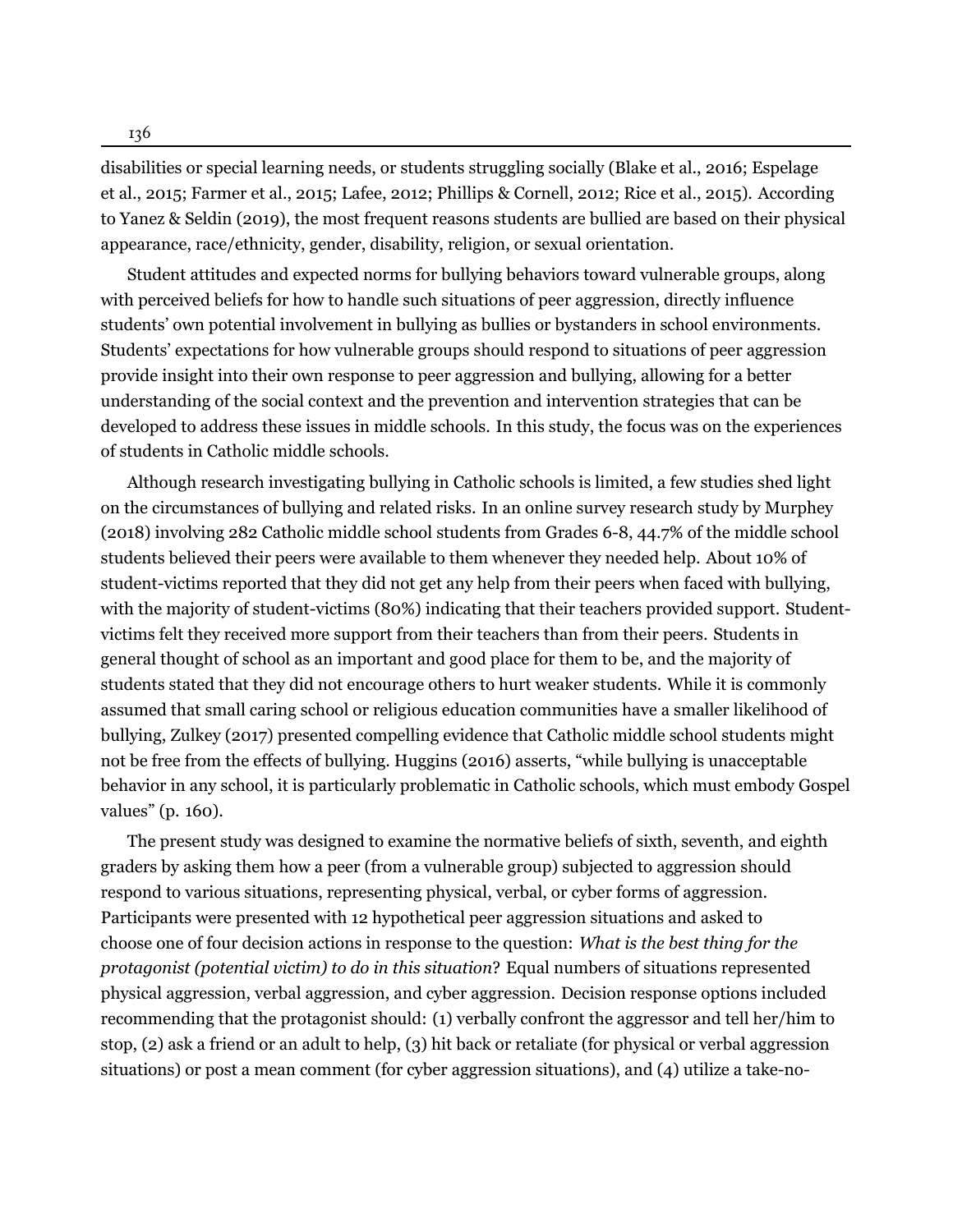136

disabilities or special learning needs, or students struggling socially [\(Blake et al., 2016](#page-12-8); [Espelage](#page-13-4) [et al.](#page-13-4), [2015;](#page-13-4) [Farmer et al., 2015](#page-13-5); [Lafee, 2012;](#page-13-6) [Phillips & Cornell, 2012;](#page-14-5) [Rice et al., 2015\)](#page-14-4). According to [Yanez & Seldin \(2019\)](#page-15-0), the most frequent reasons students are bullied are based on their physical appearance, race/ethnicity, gender, disability, religion, or sexual orientation.

Student attitudes and expected norms for bullying behaviors toward vulnerable groups, along with perceived beliefs for how to handle such situations of peer aggression, directly influence students' own potential involvement in bullying as bullies or bystanders in school environments. Students' expectations for how vulnerable groups should respond to situations of peer aggression provide insight into their own response to peer aggression and bullying, allowing for a better understanding of the social context and the prevention and intervention strategies that can be developed to address these issues in middle schools. In this study, the focus was on the experiences of students in Catholic middle schools.

Although research investigating bullying in Catholic schools is limited, a few studies shed light on the circumstances of bullying and related risks. In an online survey research study by [Murphey](#page-14-6) ([2018\)](#page-14-6) involving 282 Catholic middle school students from Grades 6-8, 44.7% of the middle school students believed their peers were available to them whenever they needed help. About 10% of student-victims reported that they did not get any help from their peers when faced with bullying, with the majority of student-victims (80%) indicating that their teachers provided support. Studentvictims felt they received more support from their teachers than from their peers. Students in general thought of school as an important and good place for them to be, and the majority of students stated that they did not encourage others to hurt weaker students. While it is commonly assumed that small caring school or religious education communities have a smaller likelihood of bullying, [Zulkey](#page-15-2) ([2017\)](#page-15-2) presented compelling evidence that Catholic middle school students might not be free from the effects of bullying. [Huggins](#page-13-7) ([2016](#page-13-7)) asserts, "while bullying is unacceptable behavior in any school, it is particularly problematic in Catholic schools, which must embody Gospel values" (p. 160).

The present study was designed to examine the normative beliefs of sixth, seventh, and eighth graders by asking them how a peer (from a vulnerable group) subjected to aggression should respond to various situations, representing physical, verbal, or cyber forms of aggression. Participants were presented with 12 hypothetical peer aggression situations and asked to choose one of four decision actions in response to the question: *What is the best thing for the protagonist (potential victim) to do in this situation*? Equal numbers of situations represented physical aggression, verbal aggression, and cyber aggression. Decision response options included recommending that the protagonist should: (1) verbally confront the aggressor and tell her/him to stop, (2) ask a friend or an adult to help, (3) hit back or retaliate (for physical or verbal aggression situations) or post a mean comment (for cyber aggression situations), and (4) utilize a take-no-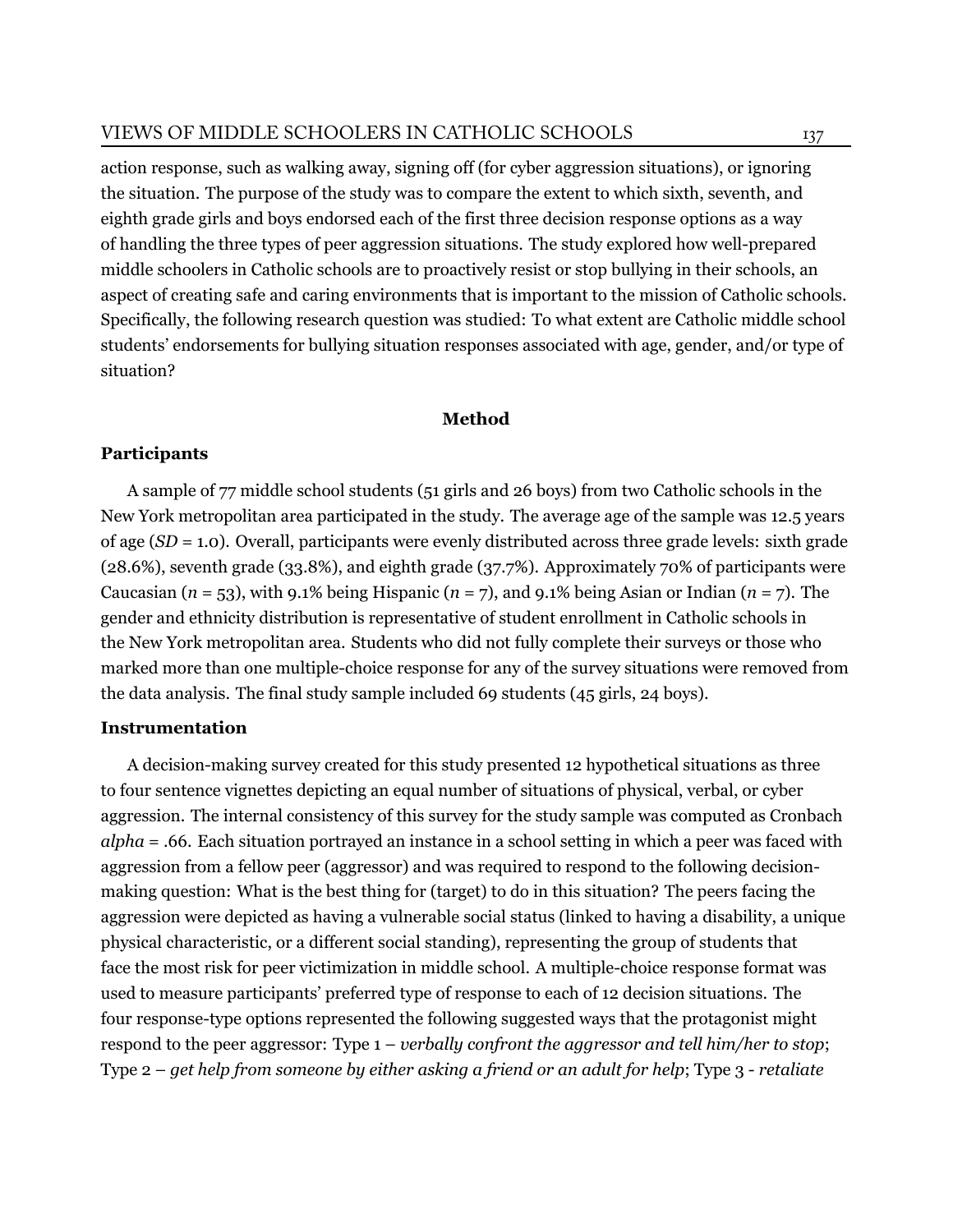action response, such as walking away, signing off (for cyber aggression situations), or ignoring the situation. The purpose of the study was to compare the extent to which sixth, seventh, and eighth grade girls and boys endorsed each of the first three decision response options as a way of handling the three types of peer aggression situations. The study explored how well-prepared middle schoolers in Catholic schools are to proactively resist or stop bullying in their schools, an aspect of creating safe and caring environments that is important to the mission of Catholic schools. Specifically, the following research question was studied: To what extent are Catholic middle school students' endorsements for bullying situation responses associated with age, gender, and/or type of situation?

### **Method**

# **Participants**

A sample of 77 middle school students (51 girls and 26 boys) from two Catholic schools in the New York metropolitan area participated in the study. The average age of the sample was 12.5 years of age (*SD* = 1.0). Overall, participants were evenly distributed across three grade levels: sixth grade (28.6%), seventh grade (33.8%), and eighth grade (37.7%). Approximately 70% of participants were Caucasian  $(n = 53)$ , with 9.1% being Hispanic  $(n = 7)$ , and 9.1% being Asian or Indian  $(n = 7)$ . The gender and ethnicity distribution is representative of student enrollment in Catholic schools in the New York metropolitan area. Students who did not fully complete their surveys or those who marked more than one multiple-choice response for any of the survey situations were removed from the data analysis. The final study sample included 69 students (45 girls, 24 boys).

# **Instrumentation**

A decision-making survey created for this study presented 12 hypothetical situations as three to four sentence vignettes depicting an equal number of situations of physical, verbal, or cyber aggression. The internal consistency of this survey for the study sample was computed as Cronbach *alpha* = .66. Each situation portrayed an instance in a school setting in which a peer was faced with aggression from a fellow peer (aggressor) and was required to respond to the following decisionmaking question: What is the best thing for (target) to do in this situation? The peers facing the aggression were depicted as having a vulnerable social status (linked to having a disability, a unique physical characteristic, or a different social standing), representing the group of students that face the most risk for peer victimization in middle school. A multiple-choice response format was used to measure participants' preferred type of response to each of 12 decision situations. The four response-type options represented the following suggested ways that the protagonist might respond to the peer aggressor: Type 1 – *verbally confront the aggressor and tell him/her to stop*; Type 2 – *get help from someone by either asking a friend or an adult for help*; Type 3 - *retaliate*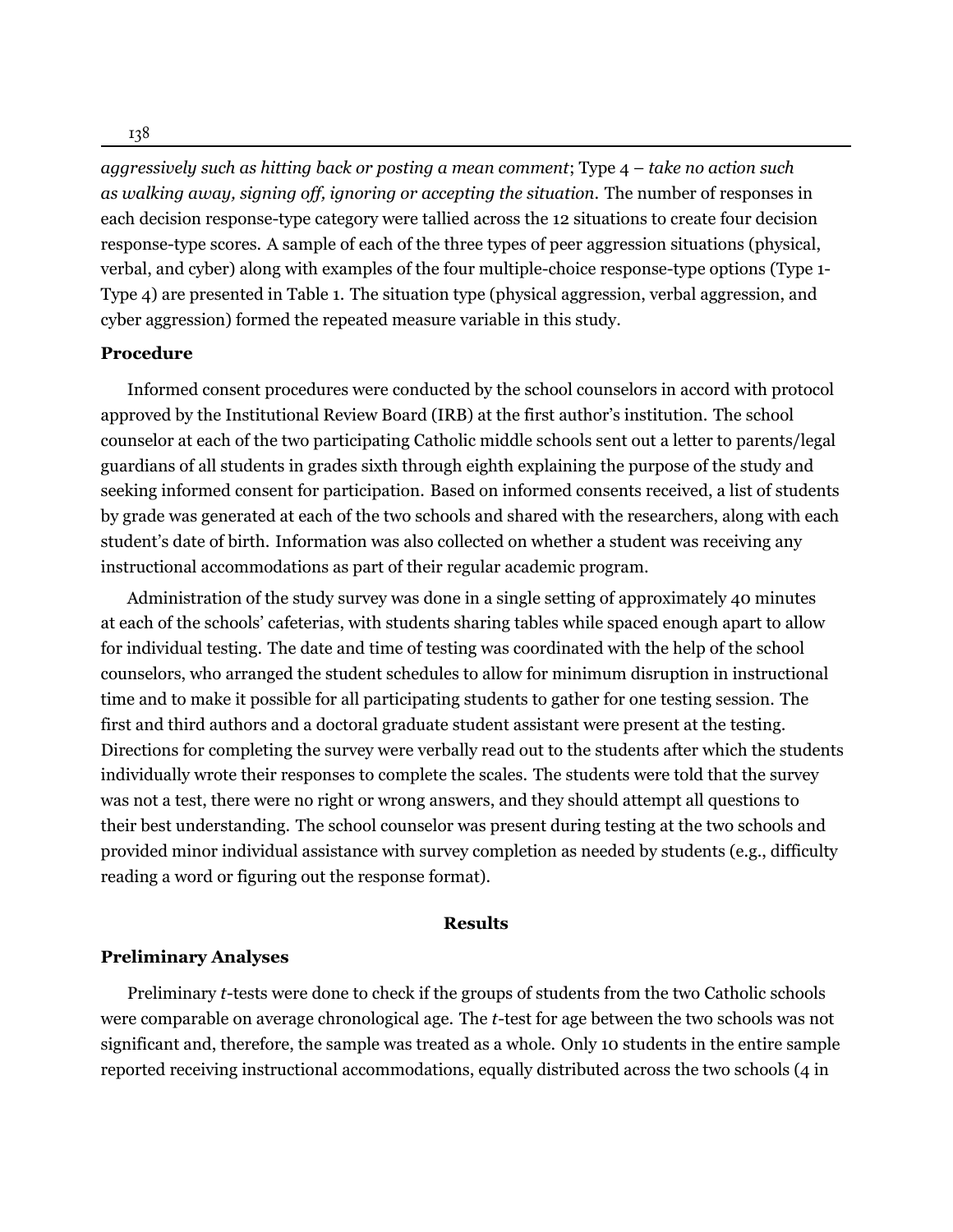*aggressively such as hitting back or posting a mean comment*; Type 4 – *take no action such as walking away, signing off, ignoring or accepting the situation*. The number of responses in each decision response-type category were tallied across the 12 situations to create four decision response-type scores. A sample of each of the three types of peer aggression situations (physical, verbal, and cyber) along with examples of the four multiple-choice response-type options (Type 1- Type 4) are presented in Table 1. The situation type (physical aggression, verbal aggression, and cyber aggression) formed the repeated measure variable in this study.

#### **Procedure**

Informed consent procedures were conducted by the school counselors in accord with protocol approved by the Institutional Review Board (IRB) at the first author's institution. The school counselor at each of the two participating Catholic middle schools sent out a letter to parents/legal guardians of all students in grades sixth through eighth explaining the purpose of the study and seeking informed consent for participation. Based on informed consents received, a list of students by grade was generated at each of the two schools and shared with the researchers, along with each student's date of birth. Information was also collected on whether a student was receiving any instructional accommodations as part of their regular academic program.

Administration of the study survey was done in a single setting of approximately 40 minutes at each of the schools' cafeterias, with students sharing tables while spaced enough apart to allow for individual testing. The date and time of testing was coordinated with the help of the school counselors, who arranged the student schedules to allow for minimum disruption in instructional time and to make it possible for all participating students to gather for one testing session. The first and third authors and a doctoral graduate student assistant were present at the testing. Directions for completing the survey were verbally read out to the students after which the students individually wrote their responses to complete the scales. The students were told that the survey was not a test, there were no right or wrong answers, and they should attempt all questions to their best understanding. The school counselor was present during testing at the two schools and provided minor individual assistance with survey completion as needed by students (e.g., difficulty reading a word or figuring out the response format).

# **Results**

#### **Preliminary Analyses**

Preliminary *t*-tests were done to check if the groups of students from the two Catholic schools were comparable on average chronological age. The *t*-test for age between the two schools was not significant and, therefore, the sample was treated as a whole. Only 10 students in the entire sample reported receiving instructional accommodations, equally distributed across the two schools (4 in

138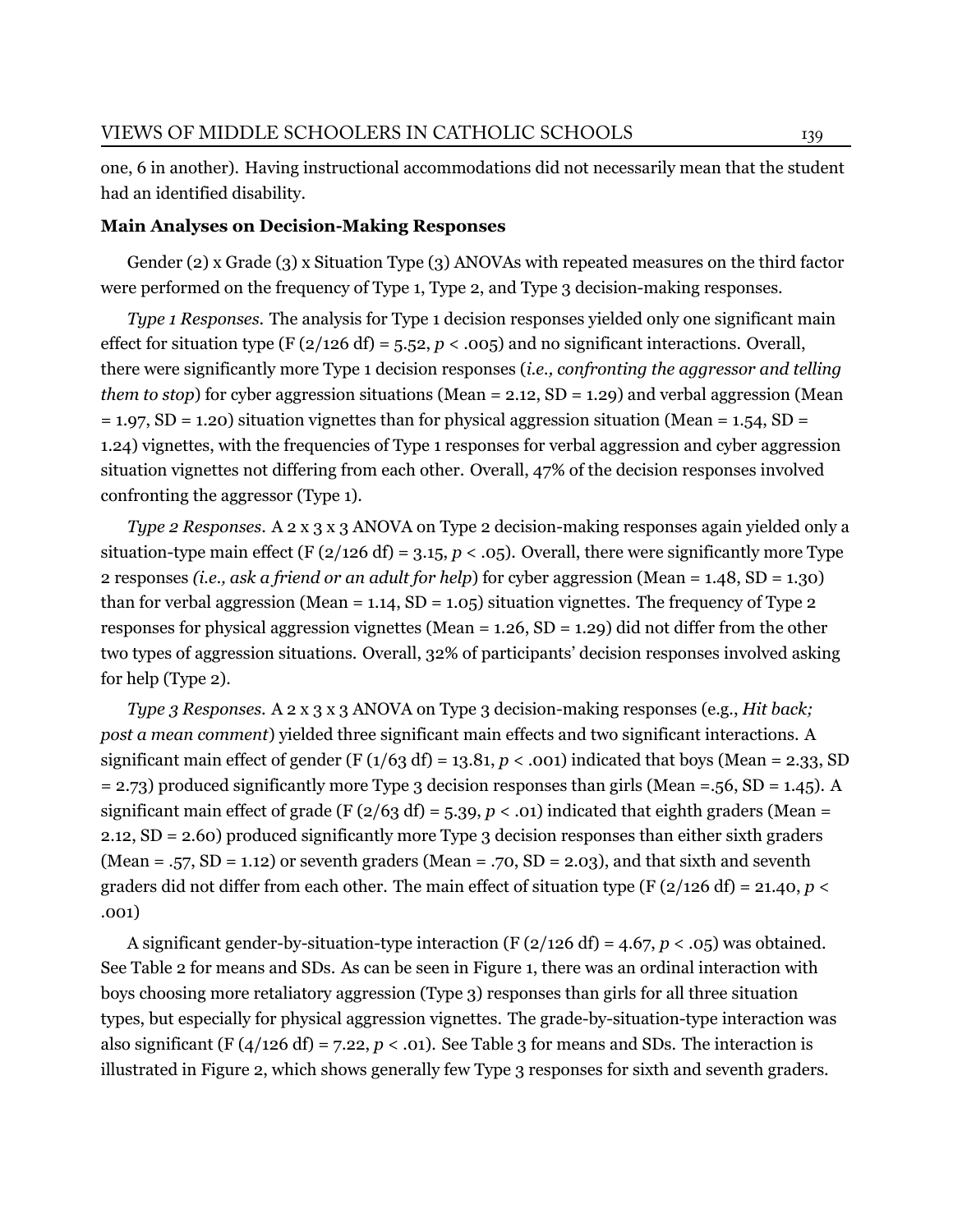one, 6 in another). Having instructional accommodations did not necessarily mean that the student had an identified disability.

#### **Main Analyses on Decision-Making Responses**

Gender (2) x Grade (3) x Situation Type (3) ANOVAs with repeated measures on the third factor were performed on the frequency of Type 1, Type 2, and Type 3 decision-making responses.

*Type 1 Responses*. The analysis for Type 1 decision responses yielded only one significant main effect for situation type (F ( $2/126$  df) = 5.52, *p* < .005) and no significant interactions. Overall, there were significantly more Type 1 decision responses (*i.e., confronting the aggressor and telling them to stop*) for cyber aggression situations (Mean = 2.12, SD = 1.29) and verbal aggression (Mean  $= 1.97$ , SD = 1.20) situation vignettes than for physical aggression situation (Mean = 1.54, SD = 1.24) vignettes, with the frequencies of Type 1 responses for verbal aggression and cyber aggression situation vignettes not differing from each other. Overall, 47% of the decision responses involved confronting the aggressor (Type 1).

*Type 2 Responses*. A 2 x 3 x 3 ANOVA on Type 2 decision-making responses again yielded only a situation-type main effect (F ( $2/126$  df) = 3.15,  $p < .05$ ). Overall, there were significantly more Type 2 responses *(i.e., ask a friend or an adult for help*) for cyber aggression (Mean = 1.48, SD = 1.30) than for verbal aggression (Mean = 1.14,  $SD = 1.05$ ) situation vignettes. The frequency of Type 2 responses for physical aggression vignettes (Mean = 1.26, SD = 1.29) did not differ from the other two types of aggression situations. Overall, 32% of participants' decision responses involved asking for help (Type 2).

*Type 3 Responses*. A 2 x 3 x 3 ANOVA on Type 3 decision-making responses (e.g., *Hit back; post a mean comment*) yielded three significant main effects and two significant interactions. A significant main effect of gender (F  $(1/63 df) = 13.81, p < .001$ ) indicated that boys (Mean = 2.33, SD = 2.73) produced significantly more Type 3 decision responses than girls (Mean =.56, SD = 1.45). A significant main effect of grade (F  $(2/63 \text{ df}) = 5.39$ ,  $p < .01$ ) indicated that eighth graders (Mean = 2.12, SD = 2.60) produced significantly more Type 3 decision responses than either sixth graders (Mean = .57, SD = 1.12) or seventh graders (Mean = .70, SD = 2.03), and that sixth and seventh graders did not differ from each other. The main effect of situation type (F  $(2/126 \text{ df}) = 21.40, p <$ .001)

A significant gender-by-situation-type interaction (F  $(2/126 \text{ df}) = 4.67$ ,  $p < .05$ ) was obtained. See Table 2 for means and SDs. As can be seen in Figure 1, there was an ordinal interaction with boys choosing more retaliatory aggression (Type 3) responses than girls for all three situation types, but especially for physical aggression vignettes. The grade-by-situation-type interaction was also significant (F  $(4/126 \text{ df}) = 7.22$ ,  $p < .01$ ). See Table 3 for means and SDs. The interaction is illustrated in Figure 2, which shows generally few Type 3 responses for sixth and seventh graders.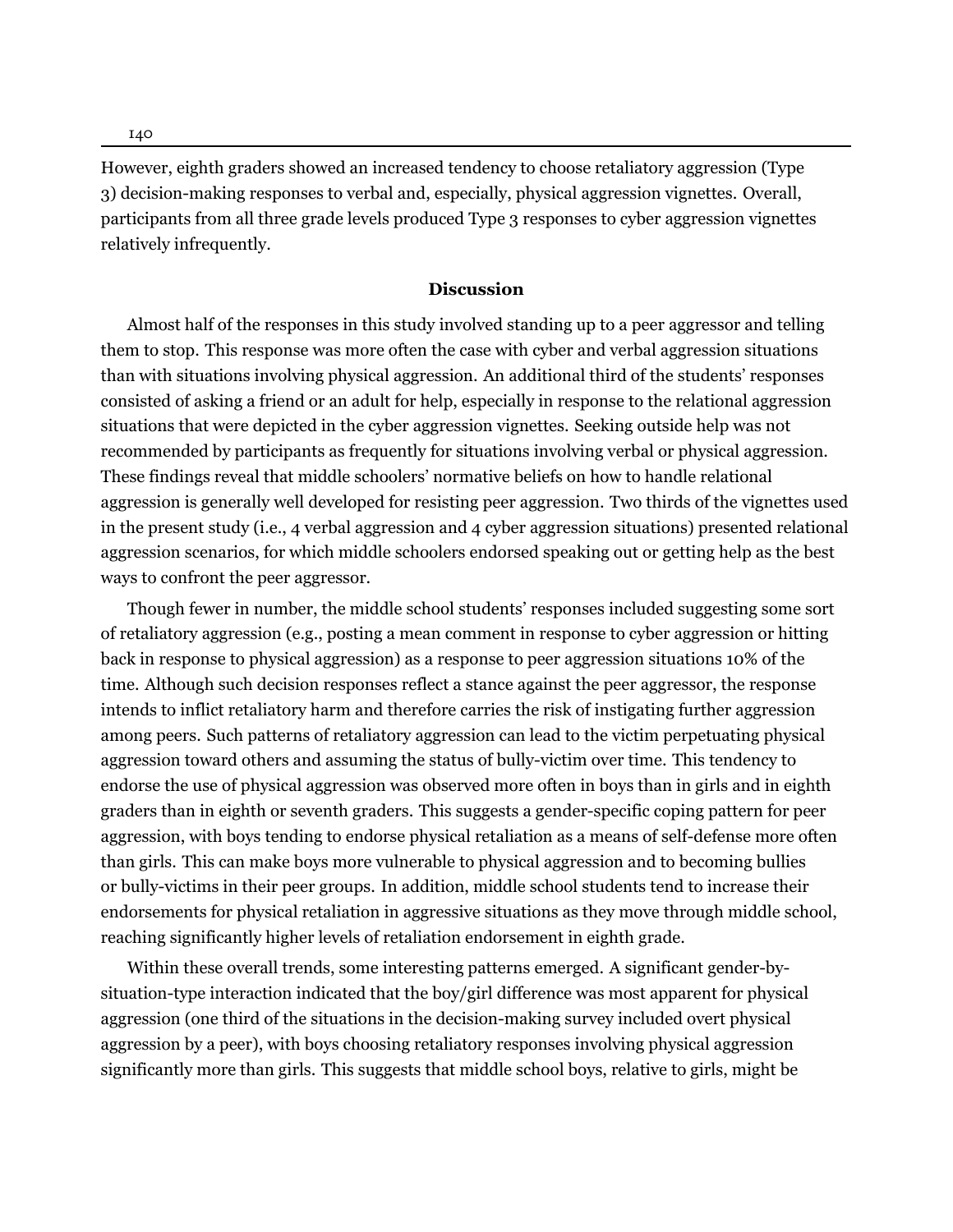However, eighth graders showed an increased tendency to choose retaliatory aggression (Type 3) decision-making responses to verbal and, especially, physical aggression vignettes. Overall, participants from all three grade levels produced Type 3 responses to cyber aggression vignettes relatively infrequently.

#### **Discussion**

Almost half of the responses in this study involved standing up to a peer aggressor and telling them to stop. This response was more often the case with cyber and verbal aggression situations than with situations involving physical aggression. An additional third of the students' responses consisted of asking a friend or an adult for help, especially in response to the relational aggression situations that were depicted in the cyber aggression vignettes. Seeking outside help was not recommended by participants as frequently for situations involving verbal or physical aggression. These findings reveal that middle schoolers' normative beliefs on how to handle relational aggression is generally well developed for resisting peer aggression. Two thirds of the vignettes used in the present study (i.e., 4 verbal aggression and 4 cyber aggression situations) presented relational aggression scenarios, for which middle schoolers endorsed speaking out or getting help as the best ways to confront the peer aggressor.

Though fewer in number, the middle school students' responses included suggesting some sort of retaliatory aggression (e.g., posting a mean comment in response to cyber aggression or hitting back in response to physical aggression) as a response to peer aggression situations 10% of the time. Although such decision responses reflect a stance against the peer aggressor, the response intends to inflict retaliatory harm and therefore carries the risk of instigating further aggression among peers. Such patterns of retaliatory aggression can lead to the victim perpetuating physical aggression toward others and assuming the status of bully-victim over time. This tendency to endorse the use of physical aggression was observed more often in boys than in girls and in eighth graders than in eighth or seventh graders. This suggests a gender-specific coping pattern for peer aggression, with boys tending to endorse physical retaliation as a means of self-defense more often than girls. This can make boys more vulnerable to physical aggression and to becoming bullies or bully-victims in their peer groups. In addition, middle school students tend to increase their endorsements for physical retaliation in aggressive situations as they move through middle school, reaching significantly higher levels of retaliation endorsement in eighth grade.

Within these overall trends, some interesting patterns emerged. A significant gender-bysituation-type interaction indicated that the boy/girl difference was most apparent for physical aggression (one third of the situations in the decision-making survey included overt physical aggression by a peer), with boys choosing retaliatory responses involving physical aggression significantly more than girls. This suggests that middle school boys, relative to girls, might be

140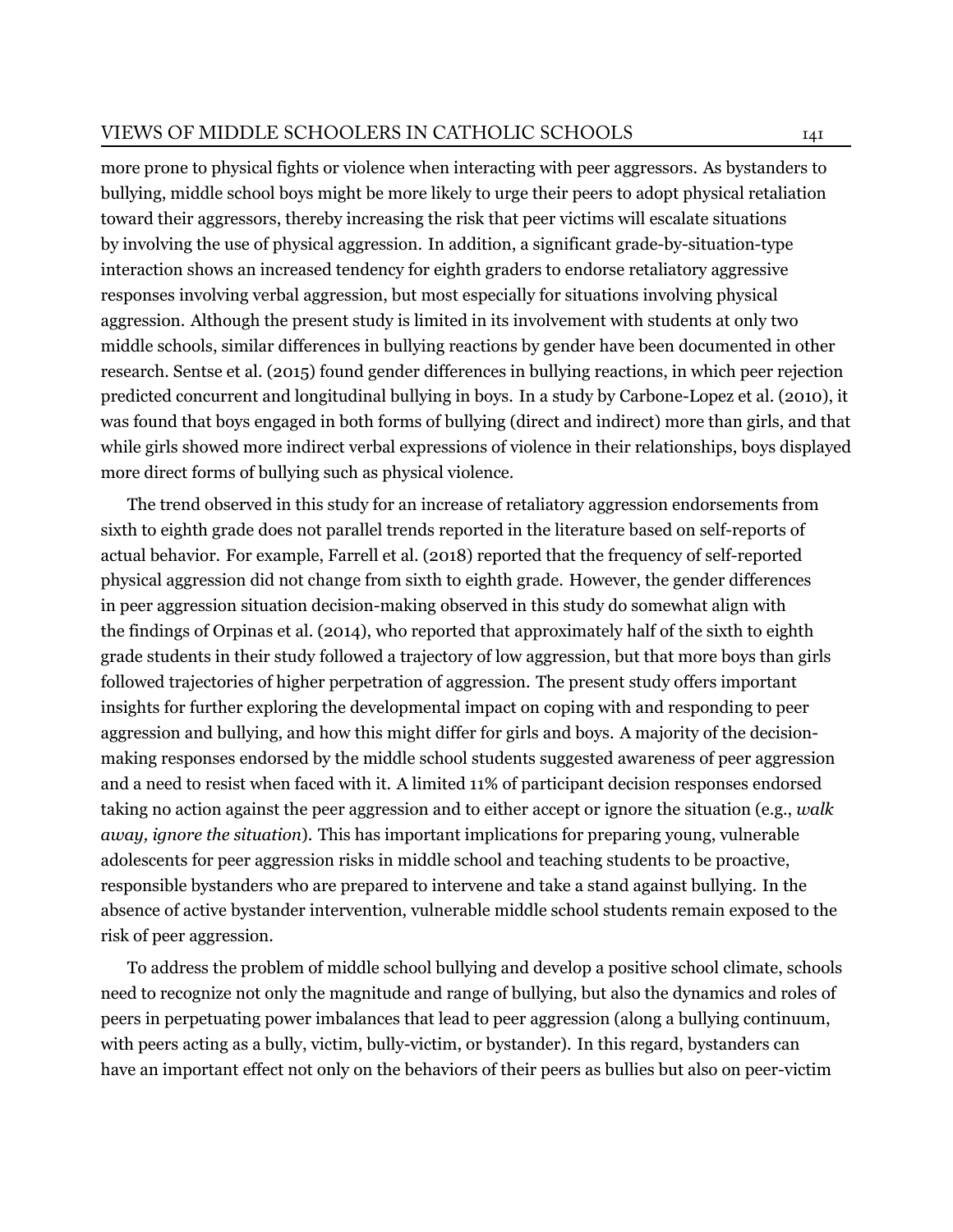more prone to physical fights or violence when interacting with peer aggressors. As bystanders to bullying, middle school boys might be more likely to urge their peers to adopt physical retaliation toward their aggressors, thereby increasing the risk that peer victims will escalate situations by involving the use of physical aggression. In addition, a significant grade-by-situation-type interaction shows an increased tendency for eighth graders to endorse retaliatory aggressive responses involving verbal aggression, but most especially for situations involving physical aggression. Although the present study is limited in its involvement with students at only two middle schools, similar differences in bullying reactions by gender have been documented in other research. [Sentse et al.](#page-15-3) ([2015\)](#page-15-3) found gender differences in bullying reactions, in which peer rejection predicted concurrent and longitudinal bullying in boys. In a study by [Carbone-Lopez et al. \(2010](#page-12-9)), it was found that boys engaged in both forms of bullying (direct and indirect) more than girls, and that while girls showed more indirect verbal expressions of violence in their relationships, boys displayed more direct forms of bullying such as physical violence.

The trend observed in this study for an increase of retaliatory aggression endorsements from sixth to eighth grade does not parallel trends reported in the literature based on self-reports of actual behavior. For example, [Farrell et al.](#page-13-8) ([2018\)](#page-13-8) reported that the frequency of self-reported physical aggression did not change from sixth to eighth grade. However, the gender differences in peer aggression situation decision-making observed in this study do somewhat align with the findings of [Orpinas et al. \(2014\)](#page-14-7), who reported that approximately half of the sixth to eighth grade students in their study followed a trajectory of low aggression, but that more boys than girls followed trajectories of higher perpetration of aggression. The present study offers important insights for further exploring the developmental impact on coping with and responding to peer aggression and bullying, and how this might differ for girls and boys. A majority of the decisionmaking responses endorsed by the middle school students suggested awareness of peer aggression and a need to resist when faced with it. A limited 11% of participant decision responses endorsed taking no action against the peer aggression and to either accept or ignore the situation (e.g., *walk away, ignore the situation*). This has important implications for preparing young, vulnerable adolescents for peer aggression risks in middle school and teaching students to be proactive, responsible bystanders who are prepared to intervene and take a stand against bullying. In the absence of active bystander intervention, vulnerable middle school students remain exposed to the risk of peer aggression.

To address the problem of middle school bullying and develop a positive school climate, schools need to recognize not only the magnitude and range of bullying, but also the dynamics and roles of peers in perpetuating power imbalances that lead to peer aggression (along a bullying continuum, with peers acting as a bully, victim, bully-victim, or bystander). In this regard, bystanders can have an important effect not only on the behaviors of their peers as bullies but also on peer-victim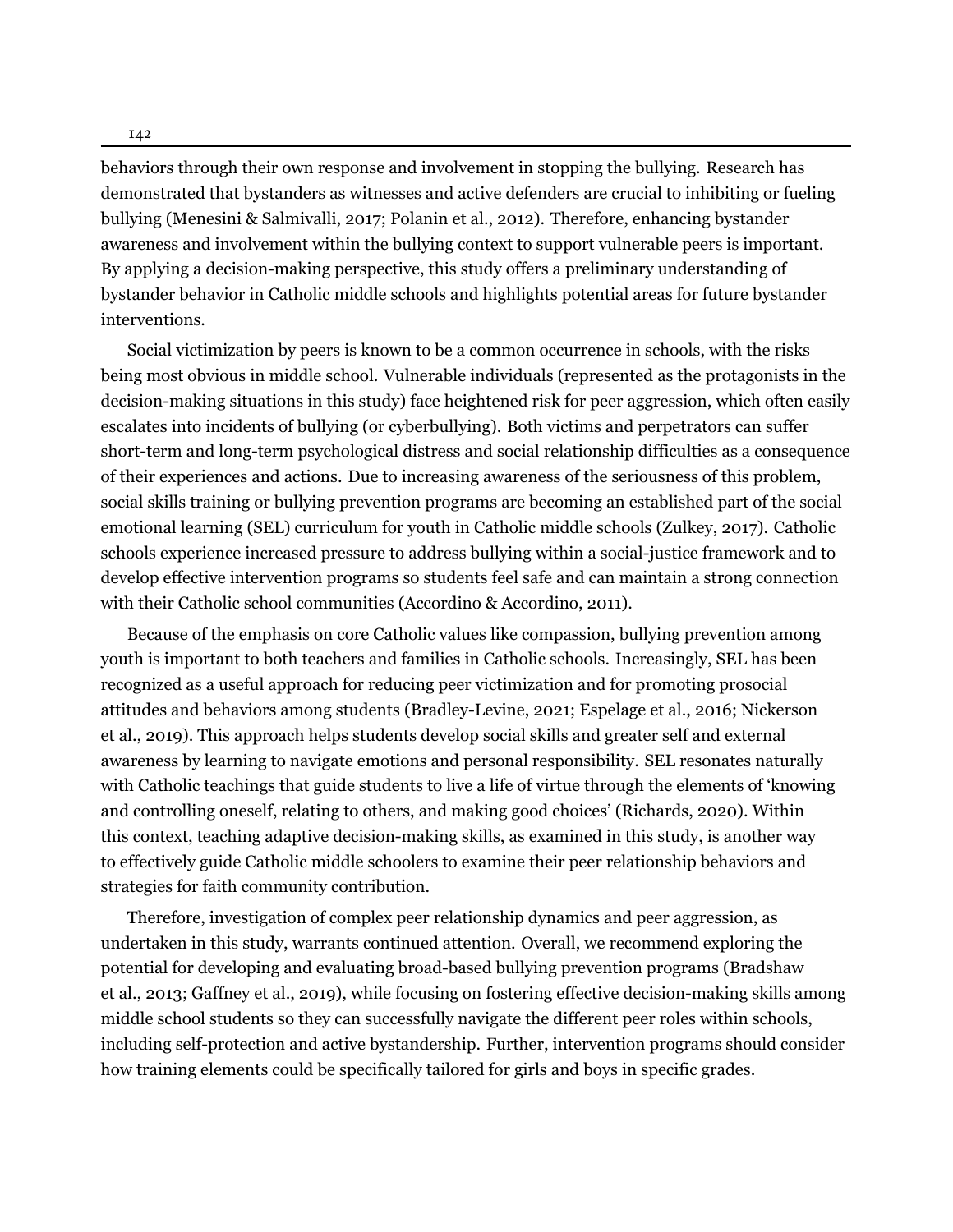142

behaviors through their own response and involvement in stopping the bullying. Research has demonstrated that bystanders as witnesses and active defenders are crucial to inhibiting or fueling bullying([Menesini & Salmivalli](#page-14-8), [2017;](#page-14-8) [Polanin et al., 2012](#page-14-9)). Therefore, enhancing bystander awareness and involvement within the bullying context to support vulnerable peers is important. By applying a decision-making perspective, this study offers a preliminary understanding of bystander behavior in Catholic middle schools and highlights potential areas for future bystander interventions.

Social victimization by peers is known to be a common occurrence in schools, with the risks being most obvious in middle school. Vulnerable individuals (represented as the protagonists in the decision-making situations in this study) face heightened risk for peer aggression, which often easily escalates into incidents of bullying (or cyberbullying). Both victims and perpetrators can suffer short-term and long-term psychological distress and social relationship difficulties as a consequence of their experiences and actions. Due to increasing awareness of the seriousness of this problem, social skills training or bullying prevention programs are becoming an established part of the social emotional learning (SEL) curriculum for youth in Catholic middle schools([Zulkey](#page-15-2), [2017\)](#page-15-2). Catholic schools experience increased pressure to address bullying within a social-justice framework and to develop effective intervention programs so students feel safe and can maintain a strong connection with their Catholic school communities [\(Accordino & Accordino, 2011\)](#page-12-10).

Because of the emphasis on core Catholic values like compassion, bullying prevention among youth is important to both teachers and families in Catholic schools. Increasingly, SEL has been recognized as a useful approach for reducing peer victimization and for promoting prosocial attitudes and behaviors among students([Bradley-Levine](#page-12-11), [2021](#page-12-11); [Espelage et al.](#page-13-9), [2016](#page-13-9); [Nickerson](#page-14-10) [et al.](#page-14-10), [2019](#page-14-10)). This approach helps students develop social skills and greater self and external awareness by learning to navigate emotions and personal responsibility. SEL resonates naturally with Catholic teachings that guide students to live a life of virtue through the elements of 'knowing and controlling oneself, relating to others, and making good choices'([Richards, 2020\)](#page-15-4). Within this context, teaching adaptive decision-making skills, as examined in this study, is another way to effectively guide Catholic middle schoolers to examine their peer relationship behaviors and strategies for faith community contribution.

Therefore, investigation of complex peer relationship dynamics and peer aggression, as undertaken in this study, warrants continued attention. Overall, we recommend exploring the potential for developing and evaluating broad-based bullying prevention programs([Bradshaw](#page-12-12) [et al.](#page-12-12), [2013](#page-12-12); [Gaffney et al., 2019\)](#page-13-10), while focusing on fostering effective decision-making skills among middle school students so they can successfully navigate the different peer roles within schools, including self-protection and active bystandership. Further, intervention programs should consider how training elements could be specifically tailored for girls and boys in specific grades.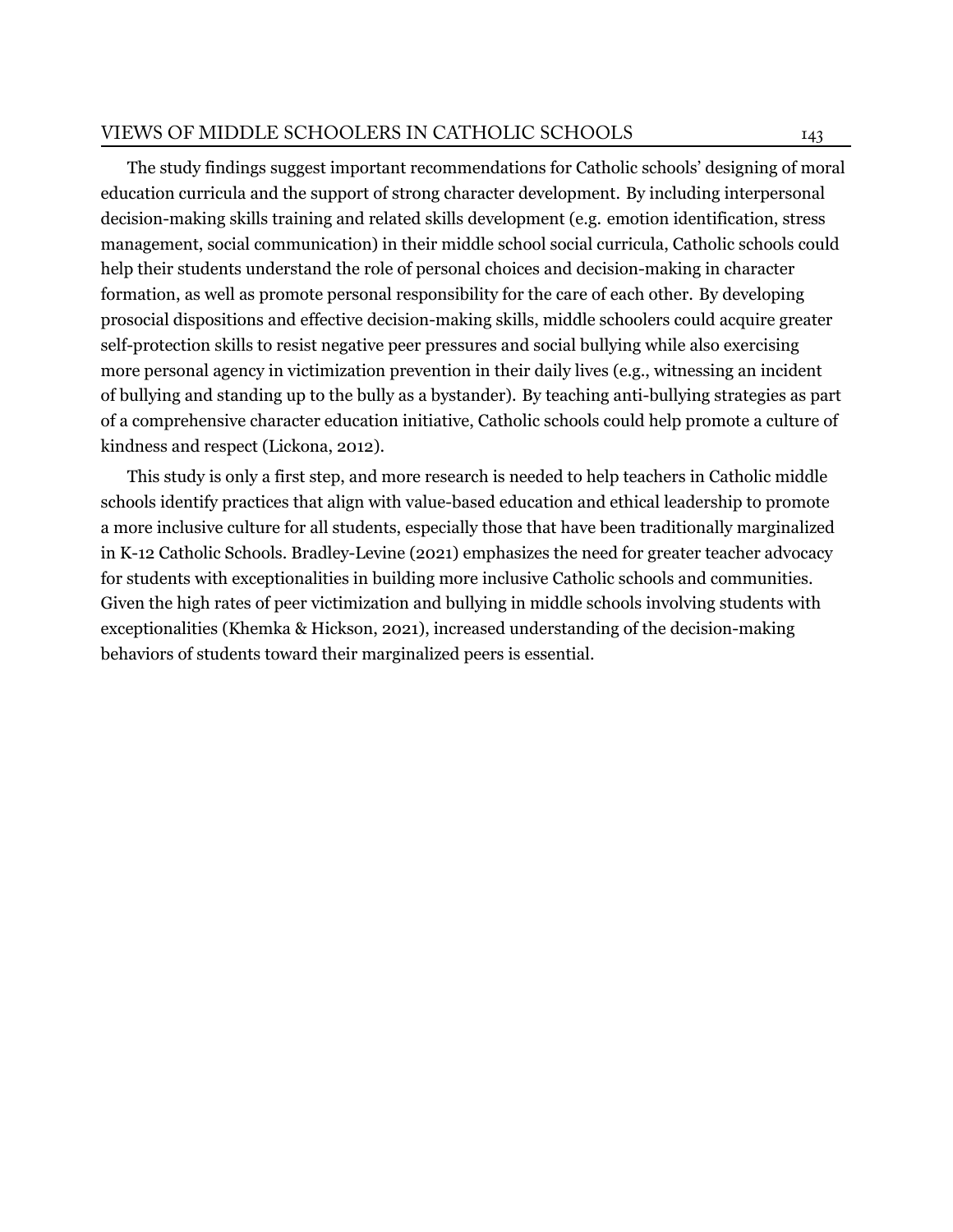The study findings suggest important recommendations for Catholic schools' designing of moral education curricula and the support of strong character development. By including interpersonal decision-making skills training and related skills development (e.g. emotion identification, stress management, social communication) in their middle school social curricula, Catholic schools could help their students understand the role of personal choices and decision-making in character formation, as well as promote personal responsibility for the care of each other. By developing prosocial dispositions and effective decision-making skills, middle schoolers could acquire greater self-protection skills to resist negative peer pressures and social bullying while also exercising more personal agency in victimization prevention in their daily lives (e.g., witnessing an incident of bullying and standing up to the bully as a bystander). By teaching anti-bullying strategies as part of a comprehensive character education initiative, Catholic schools could help promote a culture of kindness and respect([Lickona, 2012](#page-14-11)).

This study is only a first step, and more research is needed to help teachers in Catholic middle schools identify practices that align with value-based education and ethical leadership to promote a more inclusive culture for all students, especially those that have been traditionally marginalized in K-12 Catholic Schools. [Bradley-Levine \(2021\)](#page-12-11) emphasizes the need for greater teacher advocacy for students with exceptionalities in building more inclusive Catholic schools and communities. Given the high rates of peer victimization and bullying in middle schools involving students with exceptionalities([Khemka & Hickson, 2021](#page-13-11)), increased understanding of the decision-making behaviors of students toward their marginalized peers is essential.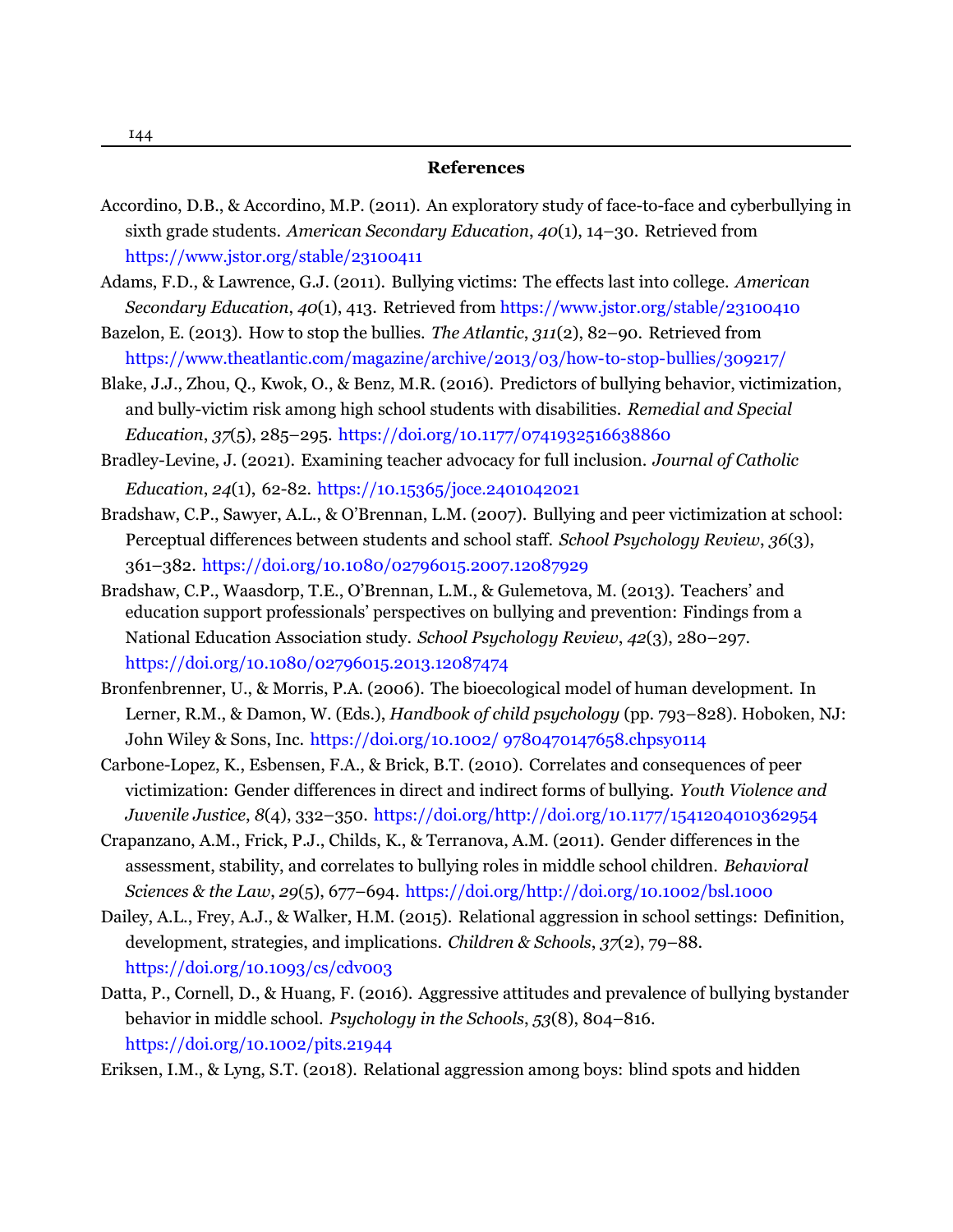- <span id="page-12-10"></span>Accordino, D.B., & Accordino, M.P. (2011). An exploratory study of face-to-face and cyberbullying in sixth grade students. *American Secondary Education*, *40*(1), 14–30. [Retrieved from](https://www.jstor.org/stable/23100411) <https://www.jstor.org/stable/23100411>
- <span id="page-12-4"></span>Adams, F.D., & Lawrence, G.J. (2011). Bullying victims: The effects last into college. *American Secondary Education*, *40*(1), 413. [Retrieved from https://www.jstor.org/stable/23100410](https://www.jstor.org/stable/23100410)
- <span id="page-12-7"></span>Bazelon, E. (2013). How to stop the bullies. *The Atlantic*, *311*(2), 82–90. [Retrieved from](https://www.theatlantic.com/magazine/archive/2013/03/how-to-stop-bullies/309217/) <https://www.theatlantic.com/magazine/archive/2013/03/how-to-stop-bullies/309217/>
- <span id="page-12-8"></span>Blake, J.J., Zhou, Q., Kwok, O., & Benz, M.R. (2016). Predictors of bullying behavior, victimization, and bully-victim risk among high school students with disabilities. *Remedial and Special Education*, *37*(5), 285–295. <https://doi.org/10.1177/0741932516638860>
- <span id="page-12-11"></span>Bradley-Levine, J. (2021). Examining teacher advocacy for full inclusion. *Journal of Catholic Education*, *24*(1), 62-82. [https://10.15365/joce.2401042021](https://doi.org/http://dx.doi.org/10.15365/joce.2401042021)
- <span id="page-12-0"></span>Bradshaw, C.P., Sawyer, A.L., & O'Brennan, L.M. (2007). Bullying and peer victimization at school: Perceptual differences between students and school staff. *School Psychology Review*, *36*(3), 361–382. <https://doi.org/10.1080/02796015.2007.12087929>
- <span id="page-12-12"></span>Bradshaw, C.P., Waasdorp, T.E., O'Brennan, L.M., & Gulemetova, M. (2013). Teachers' and education support professionals' perspectives on bullying and prevention: Findings from a National Education Association study. *School Psychology Review*, *42*(3), 280–297. <https://doi.org/10.1080/02796015.2013.12087474>
- <span id="page-12-3"></span>Bronfenbrenner, U., & Morris, P.A. (2006). The bioecological model of human development. In Lerner, R.M., & Damon, W. (Eds.), *Handbook of child psychology* (pp. 793–828). Hoboken, NJ: John Wiley & Sons, Inc. <https://doi.org/10.1002/ 9780470147658.chpsy0114>
- <span id="page-12-9"></span>Carbone-Lopez, K., Esbensen, F.A., & Brick, B.T. (2010). Correlates and consequences of peer victimization: Gender differences in direct and indirect forms of bullying. *Youth Violence and Juvenile Justice*, *8*(4), 332–350. <https://doi.org/http://doi.org/10.1177/1541204010362954>
- <span id="page-12-5"></span>Crapanzano, A.M., Frick, P.J., Childs, K., & Terranova, A.M. (2011). Gender differences in the assessment, stability, and correlates to bullying roles in middle school children. *Behavioral Sciences & the Law*, *29*(5), 677–694. <https://doi.org/http://doi.org/10.1002/bsl.1000>
- <span id="page-12-1"></span>Dailey, A.L., Frey, A.J., & Walker, H.M. (2015). Relational aggression in school settings: Definition, development, strategies, and implications. *Children & Schools*, *37*(2), 79–88. <https://doi.org/10.1093/cs/cdv003>
- <span id="page-12-6"></span>Datta, P., Cornell, D., & Huang, F. (2016). Aggressive attitudes and prevalence of bullying bystander behavior in middle school. *Psychology in the Schools*, *53*(8), 804–816. <https://doi.org/10.1002/pits.21944>
- <span id="page-12-2"></span>Eriksen, I.M., & Lyng, S.T. (2018). Relational aggression among boys: blind spots and hidden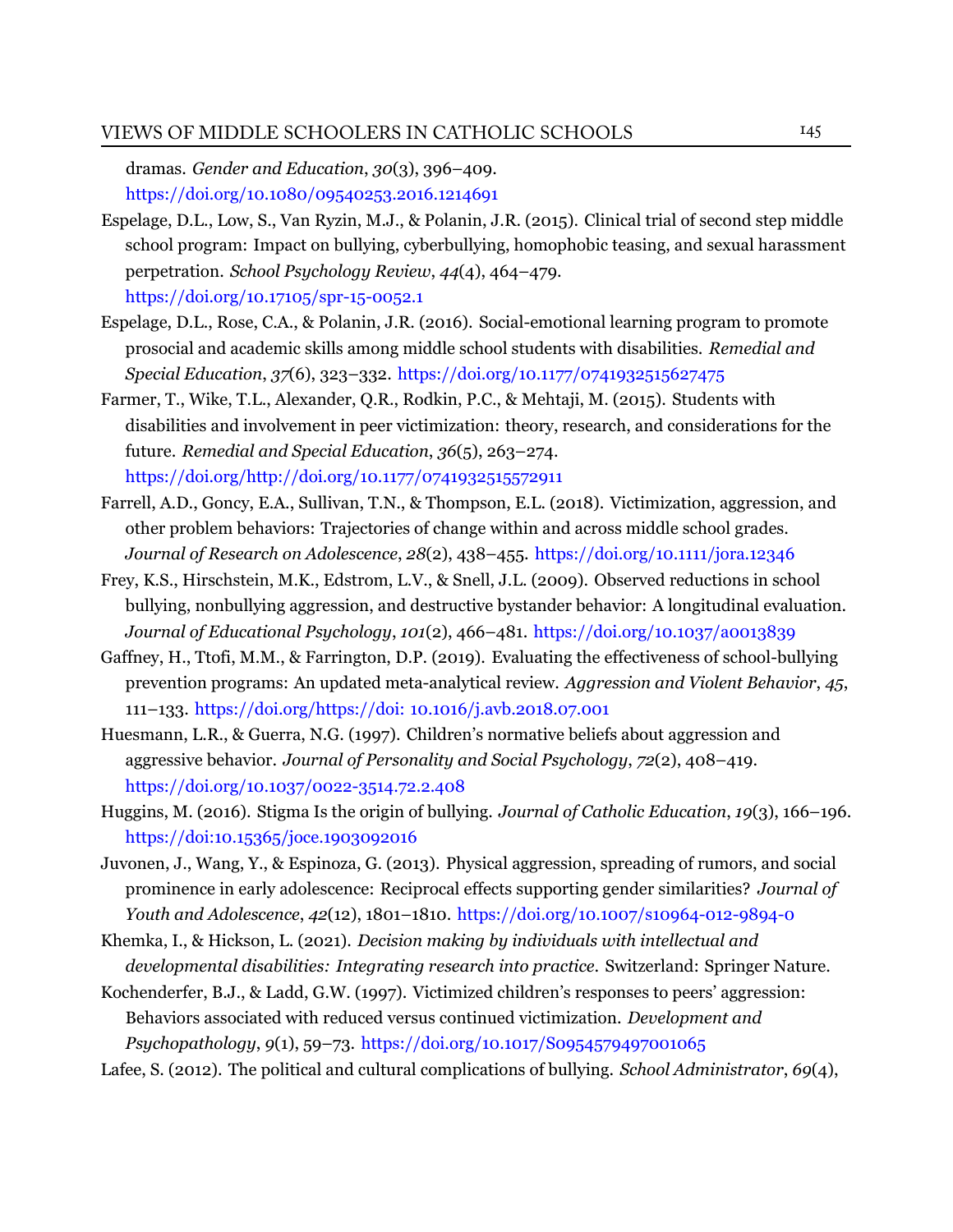dramas. *Gender and Education*, *30*(3), 396–409. <https://doi.org/10.1080/09540253.2016.1214691>

- <span id="page-13-4"></span>Espelage, D.L., Low, S., Van Ryzin, M.J., & Polanin, J.R. (2015). Clinical trial of second step middle school program: Impact on bullying, cyberbullying, homophobic teasing, and sexual harassment perpetration. *School Psychology Review*, *44*(4), 464–479. <https://doi.org/10.17105/spr-15-0052.1>
- <span id="page-13-9"></span>Espelage, D.L., Rose, C.A., & Polanin, J.R. (2016). Social-emotional learning program to promote prosocial and academic skills among middle school students with disabilities. *Remedial and Special Education*, *37*(6), 323–332. <https://doi.org/10.1177/0741932515627475>
- <span id="page-13-5"></span>Farmer, T., Wike, T.L., Alexander, Q.R., Rodkin, P.C., & Mehtaji, M. (2015). Students with disabilities and involvement in peer victimization: theory, research, and considerations for the future. *Remedial and Special Education*, *36*(5), 263–274. <https://doi.org/http://doi.org/10.1177/0741932515572911>
- <span id="page-13-8"></span>Farrell, A.D., Goncy, E.A., Sullivan, T.N., & Thompson, E.L. (2018). Victimization, aggression, and other problem behaviors: Trajectories of change within and across middle school grades. *Journal of Research on Adolescence*, *28*(2), 438–455. <https://doi.org/10.1111/jora.12346>
- <span id="page-13-1"></span>Frey, K.S., Hirschstein, M.K., Edstrom, L.V., & Snell, J.L. (2009). Observed reductions in school bullying, nonbullying aggression, and destructive bystander behavior: A longitudinal evaluation. *Journal of Educational Psychology*, *101*(2), 466–481. <https://doi.org/10.1037/a0013839>
- <span id="page-13-10"></span>Gaffney, H., Ttofi, M.M., & Farrington, D.P. (2019). Evaluating the effectiveness of school-bullying prevention programs: An updated meta-analytical review. *Aggression and Violent Behavior*, *45*, 111–133. <https://doi.org/https://doi: 10.1016/j.avb.2018.07.001>
- <span id="page-13-0"></span>Huesmann, L.R., & Guerra, N.G. (1997). Children's normative beliefs about aggression and aggressive behavior. *Journal of Personality and Social Psychology*, *72*(2), 408–419. <https://doi.org/10.1037/0022-3514.72.2.408>
- <span id="page-13-7"></span>Huggins, M. (2016). Stigma Is the origin of bullying. *Journal of Catholic Education*, *19*(3), 166–196. [https://doi:10.15365/joce.1903092016](https://doi.org/https://doi:10.15365/joce.1903092016)
- <span id="page-13-3"></span>Juvonen, J., Wang, Y., & Espinoza, G. (2013). Physical aggression, spreading of rumors, and social prominence in early adolescence: Reciprocal effects supporting gender similarities? *Journal of Youth and Adolescence*, *42*(12), 1801–1810. <https://doi.org/10.1007/s10964-012-9894-0>
- <span id="page-13-11"></span>Khemka, I., & Hickson, L. (2021). *Decision making by individuals with intellectual and developmental disabilities: Integrating research into practice*. Switzerland: Springer Nature.
- <span id="page-13-2"></span>Kochenderfer, B.J., & Ladd, G.W. (1997). Victimized children's responses to peers' aggression: Behaviors associated with reduced versus continued victimization. *Development and Psychopathology*, *9*(1), 59–73. <https://doi.org/10.1017/S0954579497001065>

<span id="page-13-6"></span>Lafee, S. (2012). The political and cultural complications of bullying. *School Administrator*, *69*(4),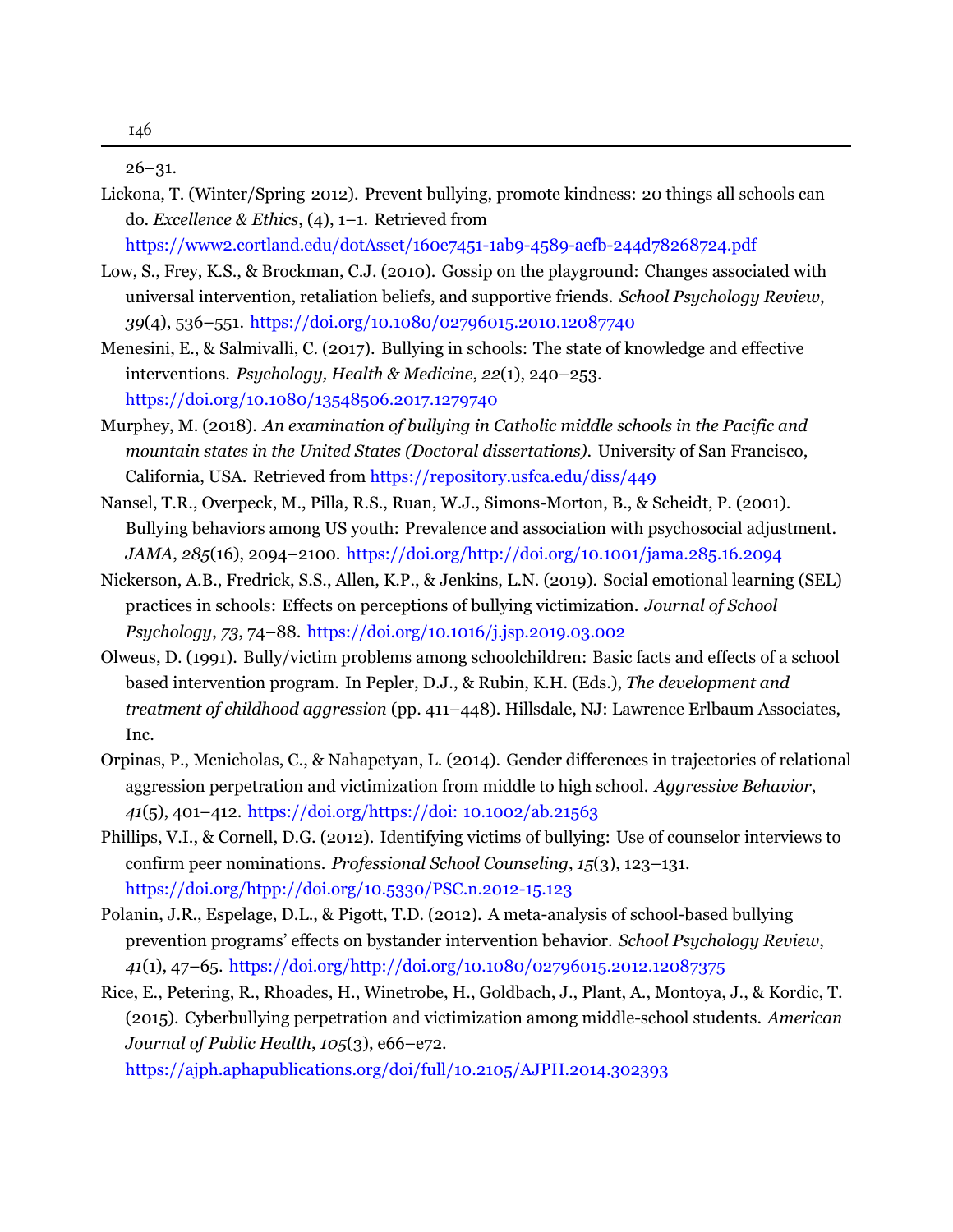<span id="page-14-0"></span>26–31.

- <span id="page-14-11"></span>Lickona, T. (Winter/Spring 2012). Prevent bullying, promote kindness: 20 things all schools can do. *Excellence & Ethics*, (4), 1–1. [Retrieved](https://www2.cortland.edu/dotAsset/160e7451-1ab9-4589-aefb-244d78268724.pdf) from <https://www2.cortland.edu/dotAsset/160e7451-1ab9-4589-aefb-244d78268724.pdf>
- <span id="page-14-3"></span>Low, S., Frey, K.S., & Brockman, C.J. (2010). Gossip on the playground: Changes associated with universal intervention, retaliation beliefs, and supportive friends. *School Psychology Review*, *39*(4), 536–551. <https://doi.org/10.1080/02796015.2010.12087740>
- <span id="page-14-8"></span>Menesini, E., & Salmivalli, C. (2017). Bullying in schools: The state of knowledge and effective interventions. *Psychology, Health & Medicine*, *22*(1), 240–253. <https://doi.org/10.1080/13548506.2017.1279740>
- <span id="page-14-6"></span>Murphey, M. (2018). *An examination of bullying in Catholic middle schools in the Pacific and mountain states in the United States (Doctoral dissertations)*. University of San Francisco, California, USA. Retrieved from <https://repository.usfca.edu/diss/449>
- <span id="page-14-2"></span>Nansel, T.R., Overpeck, M., Pilla, R.S., Ruan, W.J., Simons-Morton, B., & Scheidt, P. (2001). Bullying behaviors among US youth: Prevalence and association with psychosocial adjustment. *JAMA*, *285*(16), 2094–2100. <https://doi.org/http://doi.org/10.1001/jama.285.16.2094>
- <span id="page-14-10"></span>Nickerson, A.B., Fredrick, S.S., Allen, K.P., & Jenkins, L.N. (2019). Social emotional learning (SEL) practices in schools: Effects on perceptions of bullying victimization. *Journal of School Psychology*, *73*, 74–88. <https://doi.org/10.1016/j.jsp.2019.03.002>
- <span id="page-14-1"></span>Olweus, D. (1991). Bully/victim problems among schoolchildren: Basic facts and effects of a school based intervention program. In Pepler, D.J., & Rubin, K.H. (Eds.), *The development and treatment of childhood aggression* (pp. 411–448). Hillsdale, NJ: Lawrence Erlbaum Associates, Inc.
- <span id="page-14-7"></span>Orpinas, P., Mcnicholas, C., & Nahapetyan, L. (2014). Gender differences in trajectories of relational aggression perpetration and victimization from middle to high school. *Aggressive Behavior*, *41*(5), 401–412. <https://doi.org/https://doi: 10.1002/ab.21563>
- <span id="page-14-5"></span>Phillips, V.I., & Cornell, D.G. (2012). Identifying victims of bullying: Use of counselor interviews to confirm peer nominations. *Professional School Counseling*, *15*(3), 123–131. <https://doi.org/htpp://doi.org/10.5330/PSC.n.2012-15.123>
- <span id="page-14-9"></span>Polanin, J.R., Espelage, D.L., & Pigott, T.D. (2012). A meta-analysis of school-based bullying prevention programs' effects on bystander intervention behavior. *School Psychology Review*, *41*(1), 47–65. <https://doi.org/http://doi.org/10.1080/02796015.2012.12087375>
- <span id="page-14-4"></span>Rice, E., Petering, R., Rhoades, H., Winetrobe, H., Goldbach, J., Plant, A., Montoya, J., & Kordic, T. (2015). Cyberbullying perpetration and victimization among middle-school students. *American Journal of Public Health*, *105*(3), e66–e72.

[https://ajph.aphapublications.org/doi/full/10.2105/AJPH.2014.302393](https://doi.org/htpp://doi.org/10.2105/ajph.2014.302393)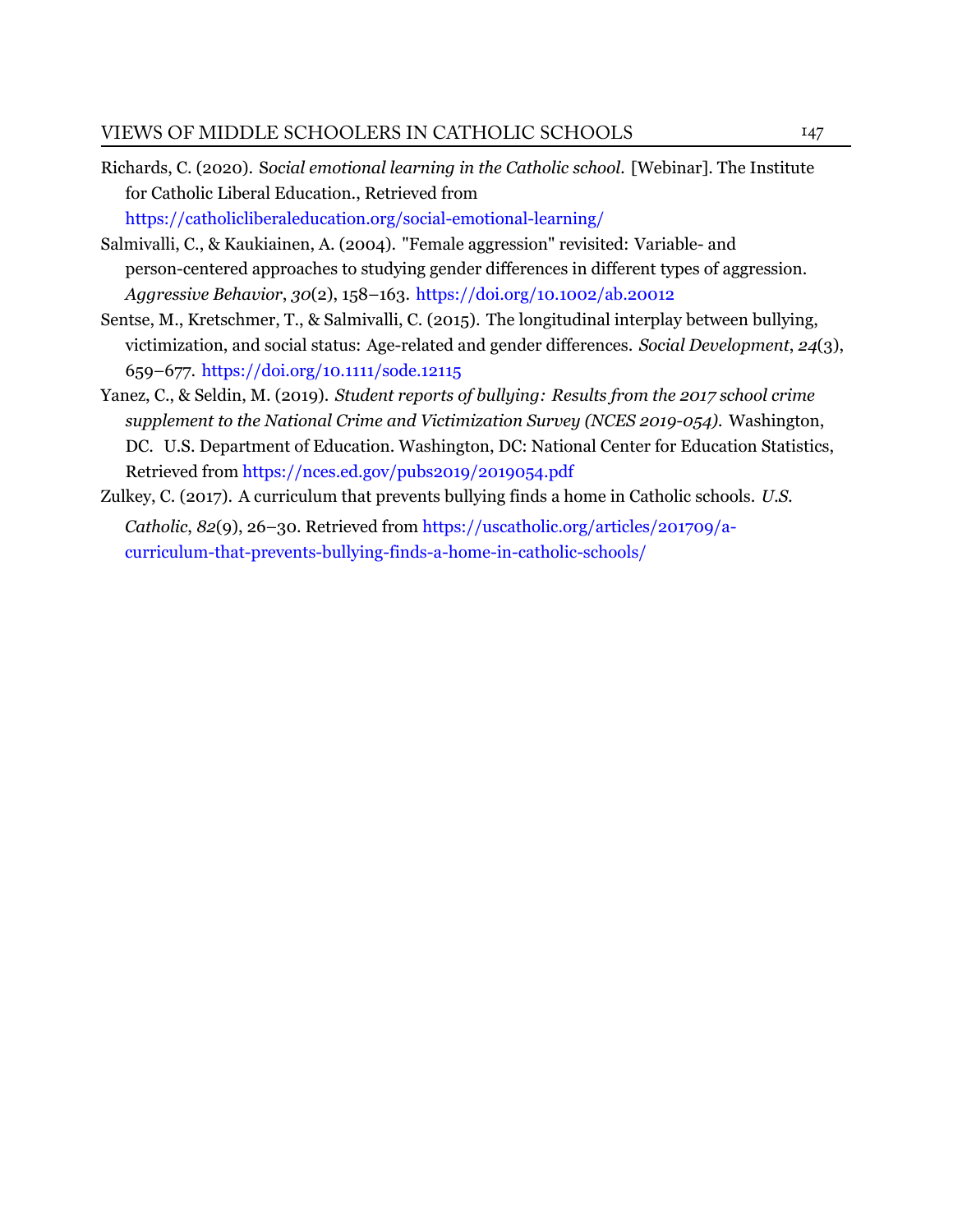- <span id="page-15-4"></span>Richards, C. (2020). S*ocial emotional learning in the Catholic school.* [Webinar]. The Institute for Catholic Liberal Education., [Retrieved from](https://catholicliberaleducation.org/social-emotional-learning/) <https://catholicliberaleducation.org/social-emotional-learning/>
- <span id="page-15-1"></span>Salmivalli, C., & Kaukiainen, A. (2004). "Female aggression" revisited: Variable- and person-centered approaches to studying gender differences in different types of aggression. *Aggressive Behavior*, *30*(2), 158–163. <https://doi.org/10.1002/ab.20012>
- <span id="page-15-3"></span>Sentse, M., Kretschmer, T., & Salmivalli, C. (2015). The longitudinal interplay between bullying, victimization, and social status: Age-related and gender differences. *Social Development*, *24*(3), 659–677. <https://doi.org/10.1111/sode.12115>
- <span id="page-15-0"></span>Yanez, C., & Seldin, M. (2019). *Student reports of bullying: Results from the 2017 school crime supplement to the National Crime and Victimization Survey (NCES 2019-054).* Washington, DC. U.S. Department of Education. Washington, DC: National Center for Education Statistics, [Retrieved from https://nces.ed.gov/pubs2019/2019054.pdf](https://nces.ed.gov/pubs2019/2019054.pdf)
- <span id="page-15-2"></span>Zulkey, C. (2017). A curriculum that prevents bullying finds a home in Catholic schools. *U.S. Catholic*, *82*(9), 26–30. Retrieved from https://uscatholic.org/articles/201709/acurriculum-that-prevents-bullying-finds-a-home-in-catholic-schools/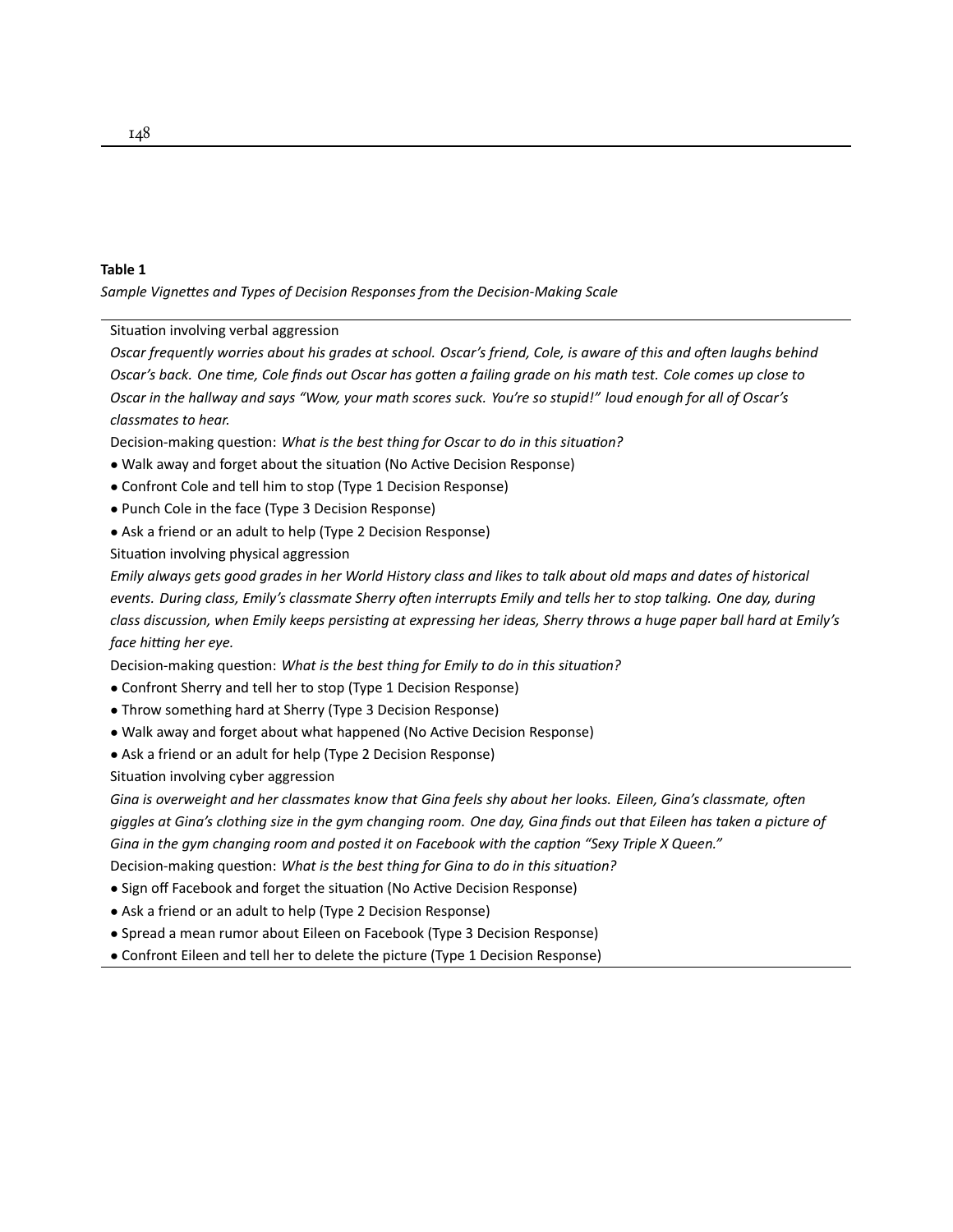#### **Table 1**

*Sample VigneƩes and Types of Decision Responses from the Decision-Making Scale*

Situation involving verbal aggression

*Oscar frequently worries about his grades at school. Oscar's friend, Cole, is aware of this and often laughs behind Oscar's back. One Ɵme, Cole finds out Oscar has goƩen a failing grade on his math test. Cole comes up close to Oscar in the hallway and says "Wow, your math scores suck. You're so stupid!" loud enough for all of Oscar's classmates to hear.*

Decision-making question: *What is the best thing for Oscar to do in this situation?* 

- Walk away and forget about the situation (No Active Decision Response)
- Confront Cole and tell him to stop (Type 1 Decision Response)
- Punch Cole in the face (Type 3 Decision Response)
- Ask a friend or an adult to help (Type 2 Decision Response)

Situation involving physical aggression

*Emily always gets good grades in her World History class and likes to talk about old maps and dates of historical events. During class, Emily's classmate Sherry often interrupts Emily and tells her to stop talking. One day, during* class discussion, when Emily keeps persisting at expressing her ideas, Sherry throws a huge paper ball hard at Emily's *face hitting her eye.* 

Decision-making question: *What is the best thing for Emily to do in this situation?* 

- Confront Sherry and tell her to stop (Type 1 Decision Response)
- Throw something hard at Sherry (Type 3 Decision Response)
- Walk away and forget about what happened (No Active Decision Response)
- Ask a friend or an adult for help (Type 2 Decision Response)

Situation involving cyber aggression

*Gina is overweight and her classmates know that Gina feels shy about her looks. Eileen, Gina's classmate, often giggles at Gina's clothing size in the gym changing room. One day, Gina finds out that Eileen has taken a picture of* Gina in the gym changing room and posted it on Facebook with the caption "Sexy Triple X Queen." Decision-making question: *What is the best thing for Gina to do in this situation?* 

- Sign off Facebook and forget the situation (No Active Decision Response)
- Ask a friend or an adult to help (Type 2 Decision Response)
- Spread a mean rumor about Eileen on Facebook (Type 3 Decision Response)
- Confront Eileen and tell her to delete the picture (Type 1 Decision Response)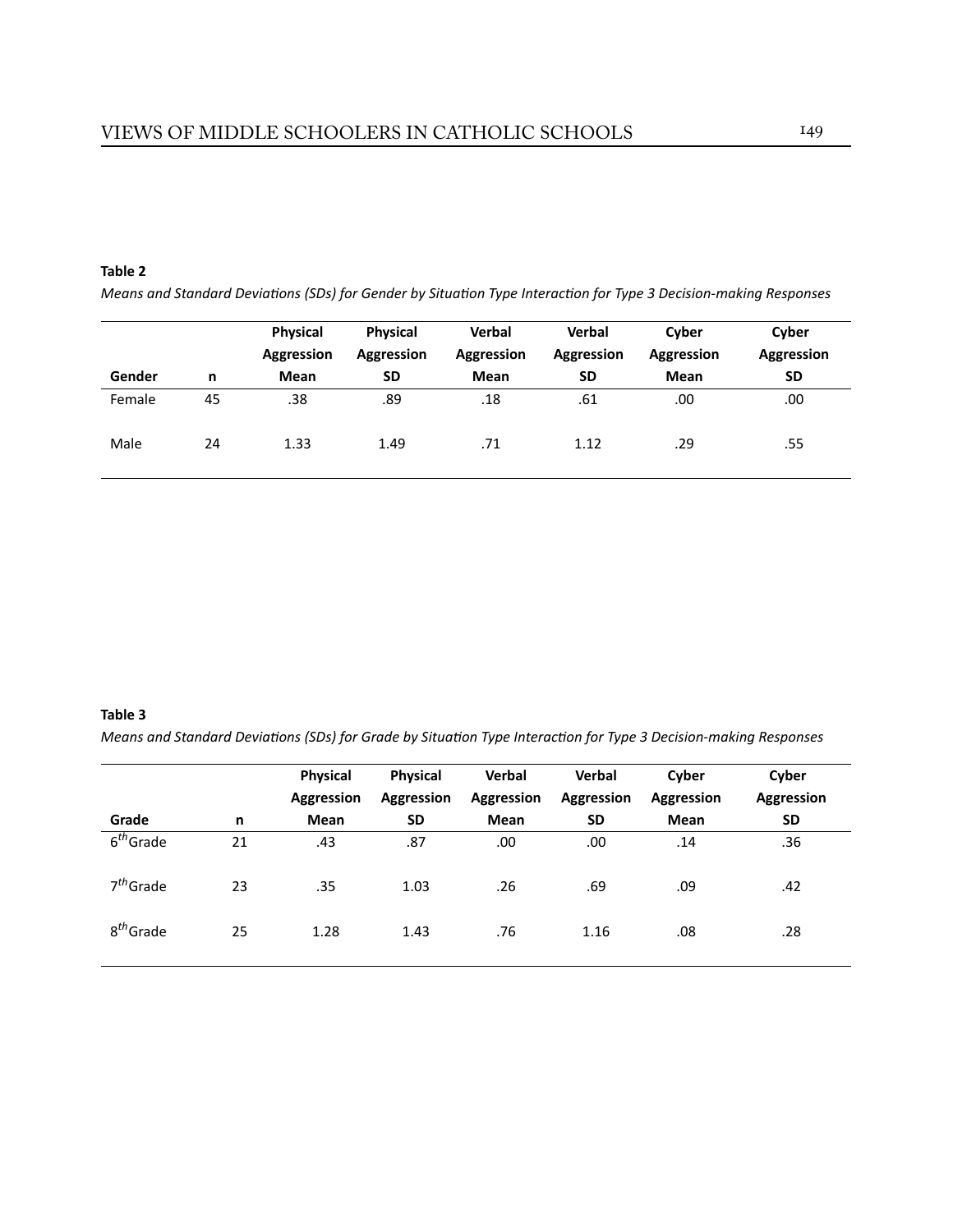#### **Table 2**

*Means and Standard Deviations (SDs) for Gender by Situation Type Interaction for Type 3 Decision-making Responses* 

|        |    | <b>Physical</b><br>Aggression | <b>Physical</b><br>Aggression | <b>Verbal</b><br>Aggression | <b>Verbal</b><br>Aggression | Cyber<br>Aggression | Cyber<br>Aggression |
|--------|----|-------------------------------|-------------------------------|-----------------------------|-----------------------------|---------------------|---------------------|
| Gender | n  | Mean                          | <b>SD</b>                     | Mean                        | <b>SD</b>                   | Mean                | <b>SD</b>           |
| Female | 45 | .38                           | .89                           | .18                         | .61                         | .00.                | .00                 |
| Male   | 24 | 1.33                          | 1.49                          | .71                         | 1.12                        | .29                 | .55                 |

#### **Table 3**

*Means and Standard Deviations (SDs) for Grade by Situation Type Interaction for Type 3 Decision-making Responses* 

|                       |    | <b>Physical</b><br><b>Aggression</b> | <b>Physical</b><br>Aggression | Verbal<br>Aggression | Verbal<br>Aggression | Cyber<br><b>Aggression</b> | Cyber<br><b>Aggression</b> |
|-----------------------|----|--------------------------------------|-------------------------------|----------------------|----------------------|----------------------------|----------------------------|
| Grade                 | n  | Mean                                 | <b>SD</b>                     | Mean                 | <b>SD</b>            | <b>Mean</b>                | <b>SD</b>                  |
| $6th$ Grade           | 21 | .43                                  | .87                           | .00                  | .00                  | .14                        | .36                        |
| $7th$ Grade           | 23 | .35                                  | 1.03                          | .26                  | .69                  | .09                        | .42                        |
| 8 <sup>th</sup> Grade | 25 | 1.28                                 | 1.43                          | .76                  | 1.16                 | .08                        | .28                        |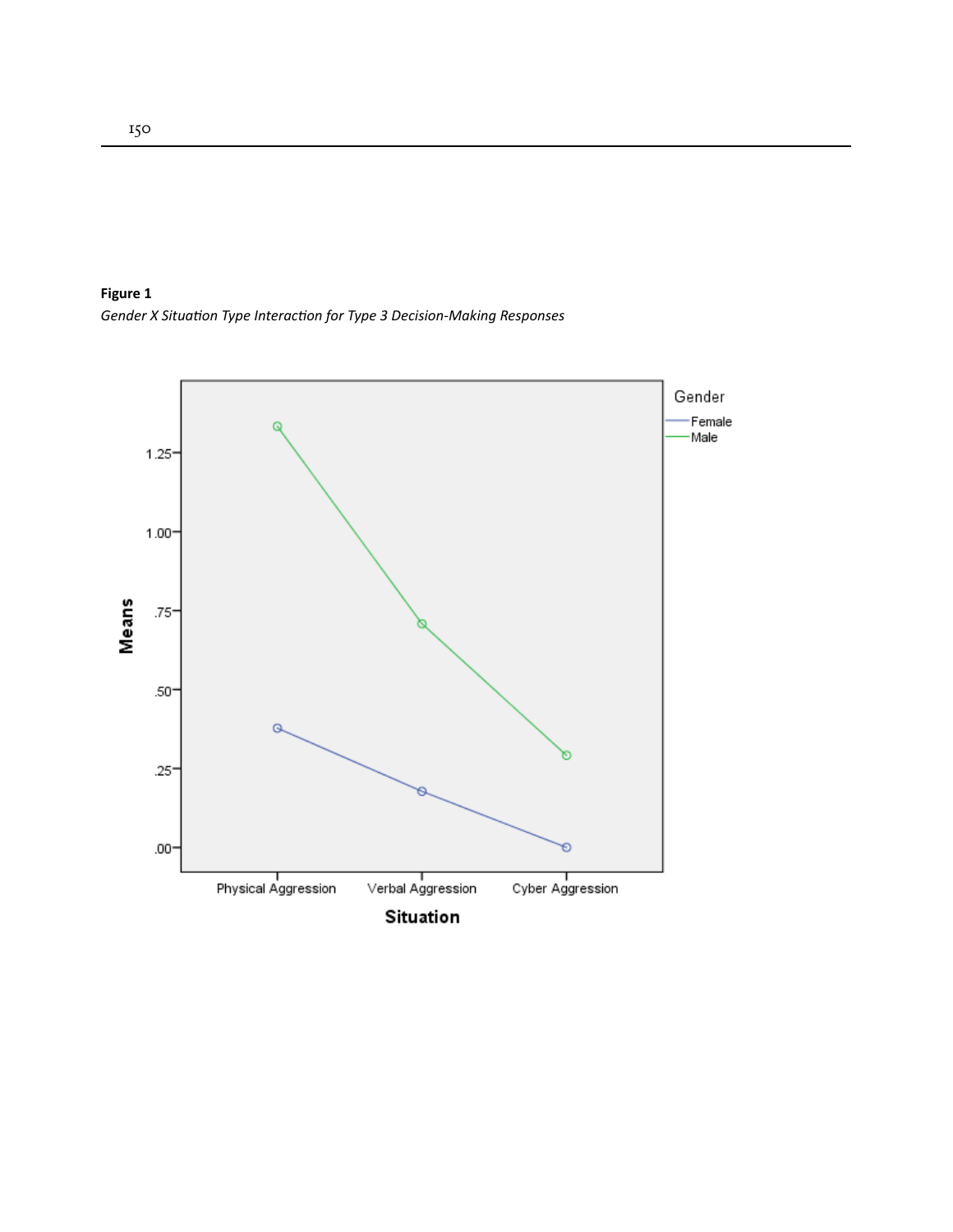